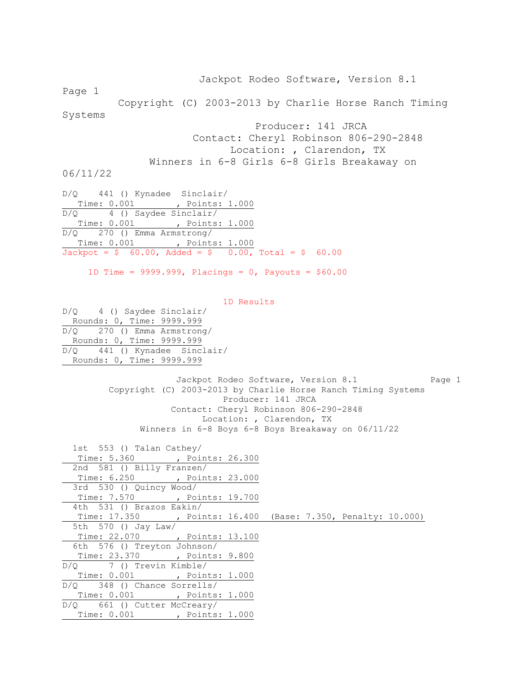Jackpot Rodeo Software, Version 8.1 Page 1 Copyright (C) 2003-2013 by Charlie Horse Ranch Timing Systems Producer: 141 JRCA Contact: Cheryl Robinson 806-290-2848 Location: , Clarendon, TX Winners in 6-8 Girls 6-8 Girls Breakaway on 06/11/22 D/Q 441 () Kynadee Sinclair/ Time: 0.001 , Points: 1.000 D/Q 4 () Saydee Sinclair/ Time: 0.001 , Points: 1.000 D/Q 270 () Emma Armstrong/ Time: 0.001 , Points: 1.000  $Jackpot = $ 60.00, \text{ Added} = $ 0.00, \text{ Total} = $ 60.00$  1D Time = 9999.999, Placings = 0, Payouts = \$60.00 1D Results D/Q 4 () Saydee Sinclair/ Rounds: 0, Time: 9999.999 D/Q 270 () Emma Armstrong/ Rounds: 0, Time: 9999.999 D/Q 441 () Kynadee Sinclair/ Rounds: 0, Time: 9999.999 Jackpot Rodeo Software, Version 8.1 Page 1 Copyright (C) 2003-2013 by Charlie Horse Ranch Timing Systems Producer: 141 JRCA Contact: Cheryl Robinson 806-290-2848 Location: , Clarendon, TX Winners in 6-8 Boys 6-8 Boys Breakaway on 06/11/22 1st 553 () Talan Cathey/ Time: 5.360 , Points: 26.300 2nd 581 () Billy Franzen/ Time: 6.250 , Points: 23.000 3rd 530 () Quincy Wood/ Time: 7.570 , Points: 19.700 4th 531 () Brazos Eakin/ Time: 17.350 , Points: 16.400 (Base: 7.350, Penalty: 10.000) 5th 570 () Jay Law/ Time: 22.070 , Points: 13.100 6th 576 () Treyton Johnson/ Time: 23.370 , Points: 9.800 D/Q 7 () Trevin Kimble/ Time: 0.001 , Points: 1.000 D/Q 348 () Chance Sorrells/ Time: 0.001 , Points: 1.000 D/Q 661 () Cutter McCreary/ Time: 0.001 , Points: 1.000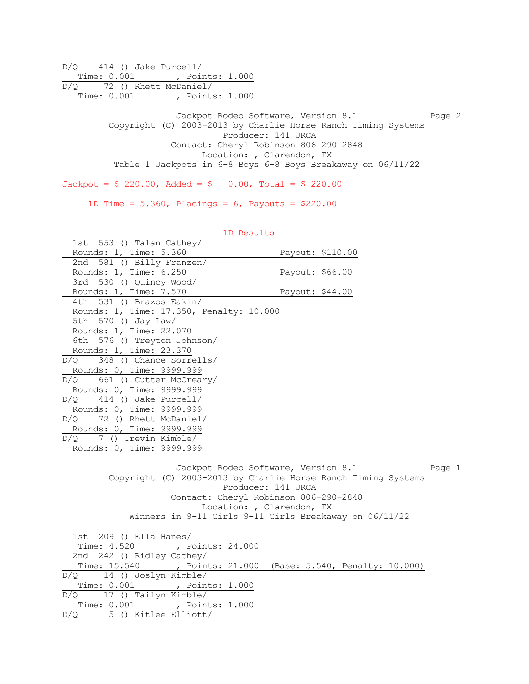D/Q 414 () Jake Purcell/ Time: 0.001 , Points: 1.000 D/Q 72 () Rhett McDaniel/ Time: 0.001 , Points: 1.000

> Jackpot Rodeo Software, Version 8.1 Page 2 Copyright (C) 2003-2013 by Charlie Horse Ranch Timing Systems Producer: 141 JRCA Contact: Cheryl Robinson 806-290-2848 Location: , Clarendon, TX Table 1 Jackpots in 6-8 Boys 6-8 Boys Breakaway on 06/11/22

 $Jackpot = $ 220.00, \text{ Added} = $ 0.00, \text{ Total} = $ 220.00$ 

1D Time = 5.360, Placings = 6, Payouts = \$220.00

| 1D Results                                             |                                                                                                                                                                                                                                                                      |
|--------------------------------------------------------|----------------------------------------------------------------------------------------------------------------------------------------------------------------------------------------------------------------------------------------------------------------------|
| 1st 553 () Talan Cathey/                               |                                                                                                                                                                                                                                                                      |
| Rounds: 1, Time: 5.360                                 | Payout: \$110.00                                                                                                                                                                                                                                                     |
| 2nd 581 () Billy Franzen/                              |                                                                                                                                                                                                                                                                      |
| Rounds: 1, Time: 6.250                                 | Payout: \$66.00                                                                                                                                                                                                                                                      |
| 3rd 530 () Quincy Wood/                                |                                                                                                                                                                                                                                                                      |
| Rounds: 1, Time: 7.570                                 | Payout: \$44.00                                                                                                                                                                                                                                                      |
| 4th 531 () Brazos Eakin/                               |                                                                                                                                                                                                                                                                      |
| Rounds: 1, Time: 17.350, Penalty: 10.000               |                                                                                                                                                                                                                                                                      |
| 5th 570 () Jay Law/                                    |                                                                                                                                                                                                                                                                      |
| Rounds: 1, Time: 22.070                                |                                                                                                                                                                                                                                                                      |
| 6th 576 () Treyton Johnson/                            |                                                                                                                                                                                                                                                                      |
| Rounds: 1, Time: 23.370                                |                                                                                                                                                                                                                                                                      |
| $D/Q$ 348 () Chance Sorrells/                          |                                                                                                                                                                                                                                                                      |
| Rounds: 0, Time: 9999.999                              |                                                                                                                                                                                                                                                                      |
| 661 () Cutter McCreary/<br>D/O                         |                                                                                                                                                                                                                                                                      |
| Rounds: 0, Time: 9999.999                              |                                                                                                                                                                                                                                                                      |
| $D/Q$ 414 () Jake Purcell/                             |                                                                                                                                                                                                                                                                      |
| Rounds: 0, Time: 9999.999                              |                                                                                                                                                                                                                                                                      |
| D/Q 72 () Rhett McDaniel/                              |                                                                                                                                                                                                                                                                      |
| Rounds: 0, Time: 9999.999                              |                                                                                                                                                                                                                                                                      |
| $D/Q$ 7 () Trevin Kimble/                              |                                                                                                                                                                                                                                                                      |
| Rounds: 0, Time: 9999.999                              |                                                                                                                                                                                                                                                                      |
|                                                        | Jackpot Rodeo Software, Version 8.1<br>Page 1<br>Copyright (C) 2003-2013 by Charlie Horse Ranch Timing Systems<br>Producer: 141 JRCA<br>Contact: Cheryl Robinson 806-290-2848<br>Location: , Clarendon, TX<br>Winners in 9-11 Girls 9-11 Girls Breakaway on 06/11/22 |
| 1st 209 () Ella Hanes/<br>Time: 4.520 , Points: 24.000 |                                                                                                                                                                                                                                                                      |
| 2nd 242 () Ridley Cathey/                              |                                                                                                                                                                                                                                                                      |
| Time: 15.540 , Points: 21.000                          | (Base: 5.540, Penalty: 10.000)                                                                                                                                                                                                                                       |
| 14 () Joslyn Kimble/<br>D/O                            |                                                                                                                                                                                                                                                                      |
| Time: 0.001 , Points: 1.000                            |                                                                                                                                                                                                                                                                      |
| $D/Q$ 17 () Tailyn Kimble/                             |                                                                                                                                                                                                                                                                      |
| Time: 0.001 , Points: 1.000                            |                                                                                                                                                                                                                                                                      |
| $D/Q$ 5 () Kitlee Elliott/                             |                                                                                                                                                                                                                                                                      |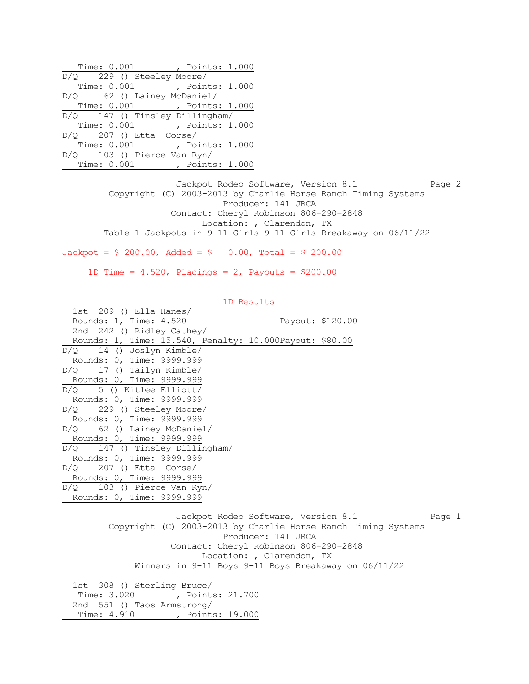| Time: 0.001 , Points: 1.000    |  |
|--------------------------------|--|
| D/Q 229 () Steeley Moore/      |  |
| Time: 0.001, Points: 1.000     |  |
| $D/Q$ 62 () Lainey McDaniel/   |  |
| Time: 0.001, Points: 1.000     |  |
| D/Q 147 () Tinsley Dillingham/ |  |
| Time: 0.001, Points: 1.000     |  |
| $D/Q$ 207 () Etta Corse/       |  |
| Time: 0.001, Points: 1.000     |  |
| $D/Q$ 103 () Pierce Van Ryn/   |  |
| Time: 0.001, Points: 1.000     |  |

Time: 4.910 , Points: 19.000

Jackpot Rodeo Software, Version 8.1 Page 2 Copyright (C) 2003-2013 by Charlie Horse Ranch Timing Systems Producer: 141 JRCA Contact: Cheryl Robinson 806-290-2848 Location: , Clarendon, TX Table 1 Jackpots in 9-11 Girls 9-11 Girls Breakaway on 06/11/22

 $Jackpot = $ 200.00, \text{ Added} = $ 0.00, \text{ Total} = $ 200.00$ 

1D Time =  $4.520$ , Placings =  $2$ , Payouts = \$200.00

| $1st$ 209 () Ella Hanes/                                      |                                       |                                     |        |
|---------------------------------------------------------------|---------------------------------------|-------------------------------------|--------|
| Rounds: 1, Time: 4.520                                        | Payout: \$120.00                      |                                     |        |
| 2nd 242 () Ridley Cathey/                                     |                                       |                                     |        |
| Rounds: 1, Time: 15.540, Penalty: 10.000Payout: \$80.00       |                                       |                                     |        |
| $D/Q$ 14 () Joslyn Kimble/                                    |                                       |                                     |        |
| Rounds: 0, Time: 9999.999                                     |                                       |                                     |        |
| $D/Q$ 17 () Tailyn Kimble/                                    |                                       |                                     |        |
| Rounds: 0, Time: 9999.999                                     |                                       |                                     |        |
| $D/Q$ 5 () Kitlee Elliott/                                    |                                       |                                     |        |
| Rounds: 0, Time: 9999.999                                     |                                       |                                     |        |
| D/Q 229 () Steeley Moore/                                     |                                       |                                     |        |
| Rounds: 0, Time: 9999.999                                     |                                       |                                     |        |
| D/Q 62 () Lainey McDaniel/                                    |                                       |                                     |        |
| Rounds: 0, Time: 9999.999                                     |                                       |                                     |        |
| D/Q 147 () Tinsley Dillingham/                                |                                       |                                     |        |
| Rounds: 0, Time: 9999.999                                     |                                       |                                     |        |
| $D/Q$ 207 () Etta Corse/                                      |                                       |                                     |        |
| Rounds: 0, Time: 9999.999                                     |                                       |                                     |        |
| $D/Q$ 103 () Pierce Van Ryn/                                  |                                       |                                     |        |
| Rounds: 0, Time: 9999.999                                     |                                       |                                     |        |
|                                                               |                                       |                                     |        |
|                                                               |                                       | Jackpot Rodeo Software, Version 8.1 | Page 1 |
| Copyright (C) 2003-2013 by Charlie Horse Ranch Timing Systems |                                       |                                     |        |
|                                                               | Producer: 141 JRCA                    |                                     |        |
|                                                               | Contact: Cheryl Robinson 806-290-2848 |                                     |        |
|                                                               | Location: , Clarendon, TX             |                                     |        |
| Winners in 9-11 Boys 9-11 Boys Breakaway on 06/11/22          |                                       |                                     |        |
| 1st 308 () Sterling Bruce/                                    |                                       |                                     |        |
| Time: 3.020 , Points: 21.700                                  |                                       |                                     |        |
| 551 () Taos Armstrong/<br>2nd                                 |                                       |                                     |        |
|                                                               |                                       |                                     |        |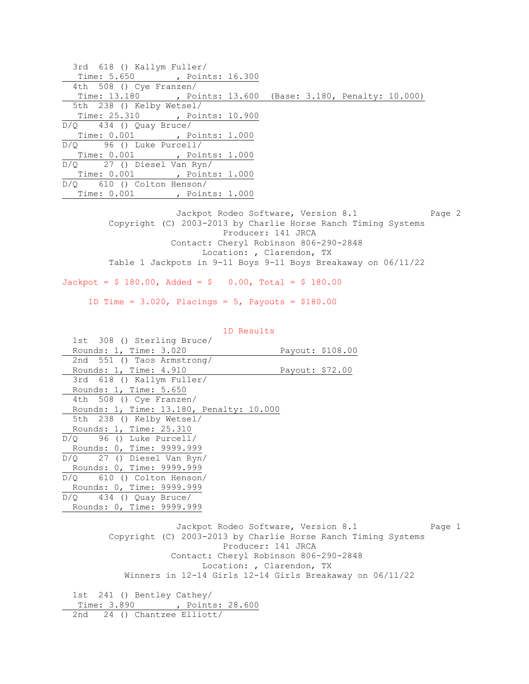3rd 618 () Kallym Fuller/ Time: 5.650 , Points: 16.300 4th 508 () Cye Franzen/ Time: 13.180 , Points: 13.600 (Base: 3.180, Penalty: 10.000) 5th 238 () Kelby Wetsel/ Time: 25.310 , Points: 10.900 D/Q 434 () Quay Bruce/ Time: 0.001 , Points: 1.000 D/Q 96 () Luke Purcell/ Time: 0.001 , Points: 1.000 D/Q 27 () Diesel Van Ryn/ Time: 0.001 , Points: 1.000 D/Q 610 () Colton Henson/ Time: 0.001 , Points: 1.000 Jackpot Rodeo Software, Version 8.1 Page 2 Copyright (C) 2003-2013 by Charlie Horse Ranch Timing Systems Producer: 141 JRCA Contact: Cheryl Robinson 806-290-2848 Location: , Clarendon, TX Table 1 Jackpots in 9-11 Boys 9-11 Boys Breakaway on 06/11/22  $Jackpot = $ 180.00$ ,  $Added = $ 0.00$ ,  $Total = $ 180.00$  1D Time = 3.020, Placings = 5, Payouts = \$180.00 1D Results 1st 308 () Sterling Bruce/ Rounds: 1, Time: 3.020 Payout: \$108.00 2nd 551 () Taos Armstrong/ Rounds: 1, Time: 4.910 Payout: \$72.00 3rd 618 () Kallym Fuller/ Rounds: 1, Time: 5.650 4th 508 () Cye Franzen/ Rounds: 1, Time: 13.180, Penalty: 10.000 5th 238 () Kelby Wetsel/ Rounds: 1, Time: 25.310 D/Q 96 () Luke Purcell/ Rounds: 0, Time: 9999.999 D/Q 27 () Diesel Van Ryn/ Rounds: 0, Time: 9999.999 D/Q 610 () Colton Henson/ Rounds: 0, Time: 9999.999  $D/Q$  434 () Quay Bruce/ Rounds: 0, Time: 9999.999 Jackpot Rodeo Software, Version 8.1 Page 1 Copyright (C) 2003-2013 by Charlie Horse Ranch Timing Systems Producer: 141 JRCA Contact: Cheryl Robinson 806-290-2848 Location: , Clarendon, TX Winners in 12-14 Girls 12-14 Girls Breakaway on 06/11/22 1st 241 () Bentley Cathey/ Time: 3.890 , Points: 28.600 2nd 24 () Chantzee Elliott/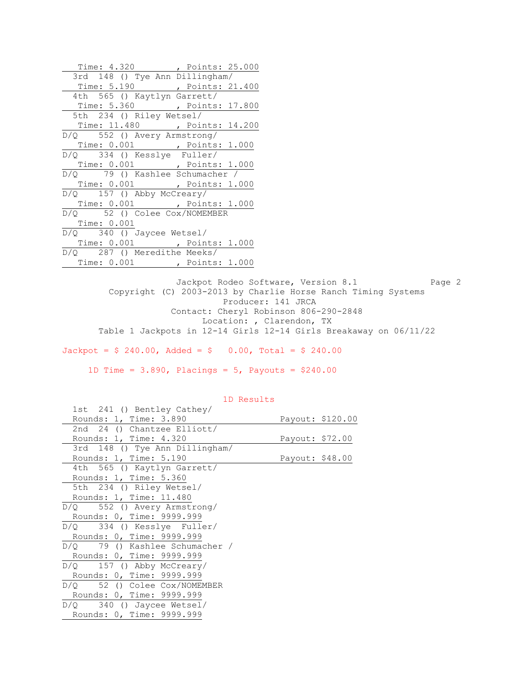| Time: 4.320 , Points: 25.000     |  |
|----------------------------------|--|
| 3rd 148 () Tye Ann Dillingham/   |  |
| Time: 5.190 , Points: 21.400     |  |
| 4th 565 () Kaytlyn Garrett/      |  |
| Time: 5.360 , Points: 17.800     |  |
| 5th 234 () Riley Wetsel/         |  |
| Time: 11.480 , Points: 14.200    |  |
| D/Q 552 () Avery Armstrong/      |  |
| Time: 0.001, Points: 1.000       |  |
| D/Q 334 () Kesslye Fuller/       |  |
| Time: 0.001 , Points: 1.000      |  |
| D/Q 79 () Kashlee Schumacher /   |  |
| Time: 0.001 , Points: 1.000      |  |
| $D/Q$ 157 () Abby McCreary/      |  |
| Time: 0.001, Points: 1.000       |  |
| $D/Q$ 52 () Colee $Cox/NOMEMBER$ |  |
| Time: 0.001                      |  |
| $D/Q$ 340 () Jaycee Wetsel/      |  |
| Time: 0.001, Points: 1.000       |  |
| D/O 287 () Meredithe Meeks/      |  |
| Time: 0.001, Points: 1.000       |  |

Jackpot Rodeo Software, Version 8.1 Page 2 Copyright (C) 2003-2013 by Charlie Horse Ranch Timing Systems Producer: 141 JRCA Contact: Cheryl Robinson 806-290-2848 Location: , Clarendon, TX Table 1 Jackpots in 12-14 Girls 12-14 Girls Breakaway on 06/11/22

Jackpot =  $$ 240.00$ , Added =  $$ 0.00$ , Total =  $$ 240.00$ 

1D Time =  $3.890$ , Placings =  $5$ , Payouts =  $$240.00$ 

| 1st 241 () Bentley Cathey/     |                 |                  |
|--------------------------------|-----------------|------------------|
| Rounds: 1, Time: 3.890         |                 | Payout: \$120.00 |
| 2nd 24 () Chantzee Elliott/    |                 |                  |
| Rounds: 1, Time: 4.320         | Payout: \$72.00 |                  |
| 3rd 148 () Tye Ann Dillingham/ |                 |                  |
| Rounds: 1, Time: 5.190         | Payout: \$48.00 |                  |
| 4th 565 () Kaytlyn Garrett/    |                 |                  |
| Rounds: 1, Time: 5.360         |                 |                  |
| 5th 234 () Riley Wetsel/       |                 |                  |
| Rounds: 1, Time: 11.480        |                 |                  |
| $D/Q$ 552 () Avery Armstrong/  |                 |                  |
| Rounds: 0, Time: 9999.999      |                 |                  |
| $D/Q$ 334 () Kesslye Fuller/   |                 |                  |
| Rounds: 0, Time: 9999.999      |                 |                  |
| D/O 79 () Kashlee Schumacher / |                 |                  |
| Rounds: 0, Time: 9999.999      |                 |                  |
| $D/Q$ 157 () Abby McCreary/    |                 |                  |
| Rounds: 0, Time: 9999.999      |                 |                  |
| D/O 52 () Colee Cox/NOMEMBER   |                 |                  |
| Rounds: 0, Time: 9999.999      |                 |                  |
| $D/Q$ 340 () Jaycee Wetsel/    |                 |                  |
| Rounds: 0, Time: 9999.999      |                 |                  |
|                                |                 |                  |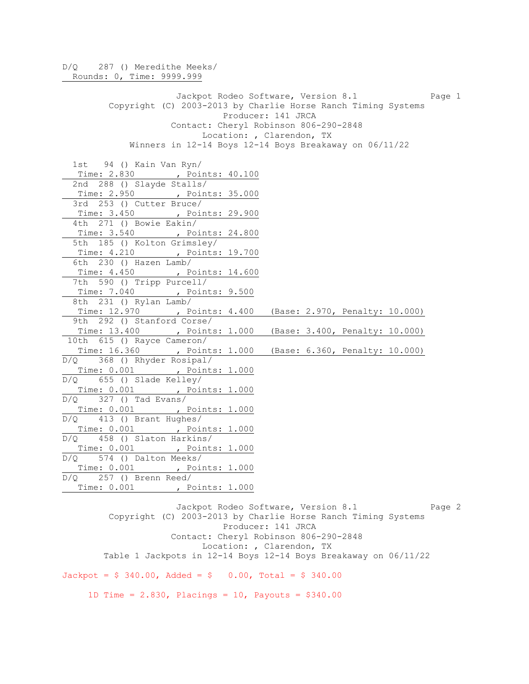D/Q 287 () Meredithe Meeks/ Rounds: 0, Time: 9999.999 Jackpot Rodeo Software, Version 8.1 Page 1 Copyright (C) 2003-2013 by Charlie Horse Ranch Timing Systems Producer: 141 JRCA Contact: Cheryl Robinson 806-290-2848 Location: , Clarendon, TX Winners in 12-14 Boys 12-14 Boys Breakaway on 06/11/22 1st 94 () Kain Van Ryn/ Time: 2.830 , Points: 40.100 2nd 288 () Slayde Stalls/ Time: 2.950 , Points: 35.000 3rd 253 () Cutter Bruce/ Time: 3.450 , Points: 29.900 4th 271 () Bowie Eakin/ Time: 3.540 , Points: 24.800 5th 185 () Kolton Grimsley/ Time: 4.210 , Points: 19.700 6th 230 () Hazen Lamb/ Time: 4.450 , Points: 14.600 7th 590 () Tripp Purcell/ Time: 7.040 , Points: 9.500 8th 231 () Rylan Lamb/ Time: 12.970 , Points: 4.400 (Base: 2.970, Penalty: 10.000) 9th 292 () Stanford Corse/ Time: 13.400 , Points: 1.000 (Base: 3.400, Penalty: 10.000) 10th 615 () Rayce Cameron/ Time: 16.360 , Points: 1.000 (Base: 6.360, Penalty: 10.000) D/Q 368 () Rhyder Rosipal/ Time: 0.001 , Points: 1.000 D/Q 655 () Slade Kelley/ Time: 0.001 , Points: 1.000 D/Q 327 () Tad Evans/ Time: 0.001 , Points: 1.000  $D/Q$  413 () Brant Hughes/ Time: 0.001 , Points: 1.000 D/Q 458 () Slaton Harkins/ Time: 0.001 , Points: 1.000 D/Q 574 () Dalton Meeks/ Time: 0.001 , Points: 1.000 D/Q 257 () Brenn Reed/ Time: 0.001 , Points: 1.000

Jackpot Rodeo Software, Version 8.1 Page 2 Copyright (C) 2003-2013 by Charlie Horse Ranch Timing Systems Producer: 141 JRCA Contact: Cheryl Robinson 806-290-2848 Location: , Clarendon, TX Table 1 Jackpots in 12-14 Boys 12-14 Boys Breakaway on 06/11/22  $Jackpot = $ 340.00$ ,  $Added = $ 0.00$ ,  $Total = $ 340.00$ 

1D Time =  $2.830$ , Placings = 10, Payouts =  $$340.00$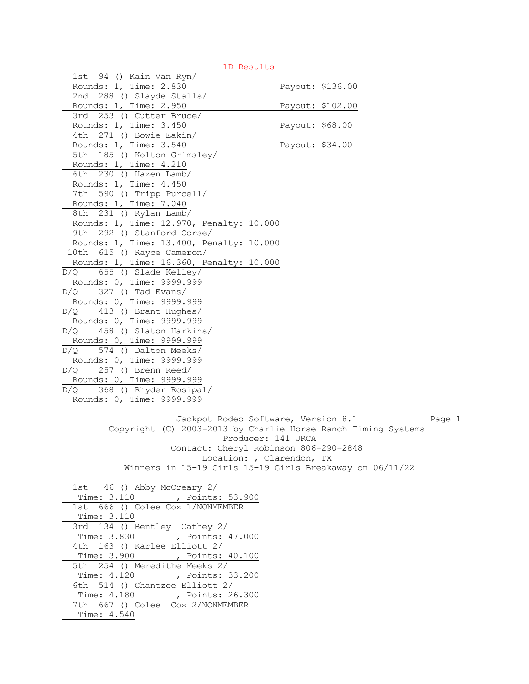1st 94 () Kain Van Ryn/ Rounds: 1, Time: 2.830 Payout: \$136.00 2nd 288 () Slayde Stalls/ Rounds: 1, Time: 2.950 Payout: \$102.00 3rd 253 () Cutter Bruce/ Rounds: 1, Time: 3.450 Payout: \$68.00 4th 271 () Bowie Eakin/ Rounds: 1, Time: 3.540 Payout: \$34.00 5th 185 () Kolton Grimsley/ Rounds: 1, Time: 4.210 6th 230 () Hazen Lamb/ Rounds: 1, Time: 4.450 7th 590 () Tripp Purcell/ Rounds: 1, Time: 7.040 8th 231 () Rylan Lamb/ Rounds: 1, Time: 12.970, Penalty: 10.000 9th 292 () Stanford Corse/ Rounds: 1, Time: 13.400, Penalty: 10.000 10th 615 () Rayce Cameron/ Rounds: 1, Time: 16.360, Penalty: 10.000 D/Q 655 () Slade Kelley/ Rounds: 0, Time: 9999.999  $D/Q$  327 () Tad Evans/ Rounds: 0, Time: 9999.999 D/Q 413 () Brant Hughes/ Rounds: 0, Time: 9999.999 D/Q 458 () Slaton Harkins/ Rounds: 0, Time: 9999.999 D/Q 574 () Dalton Meeks/ Rounds: 0, Time: 9999.999 D/Q 257 () Brenn Reed/ Rounds: 0, Time: 9999.999 D/Q 368 () Rhyder Rosipal/ Rounds: 0, Time: 9999.999 Jackpot Rodeo Software, Version 8.1 Page 1 Copyright (C) 2003-2013 by Charlie Horse Ranch Timing Systems Producer: 141 JRCA Contact: Cheryl Robinson 806-290-2848 Location: , Clarendon, TX Winners in 15-19 Girls 15-19 Girls Breakaway on 06/11/22 1st 46 () Abby McCreary 2/ Time: 3.110 , Points: 53.900 1st 666 () Colee Cox 1/NONMEMBER Time: 3.110 3rd 134 () Bentley Cathey 2/ Time: 3.830 , Points: 47.000 4th 163 () Karlee Elliott 2/ Time: 3.900 , Points: 40.100 5th 254 () Meredithe Meeks 2/ Time: 4.120 , Points: 33.200 6th 514 () Chantzee Elliott 2/ Time: 4.180 , Points: 26.300 7th 667 () Colee Cox 2/NONMEMBER Time: 4.540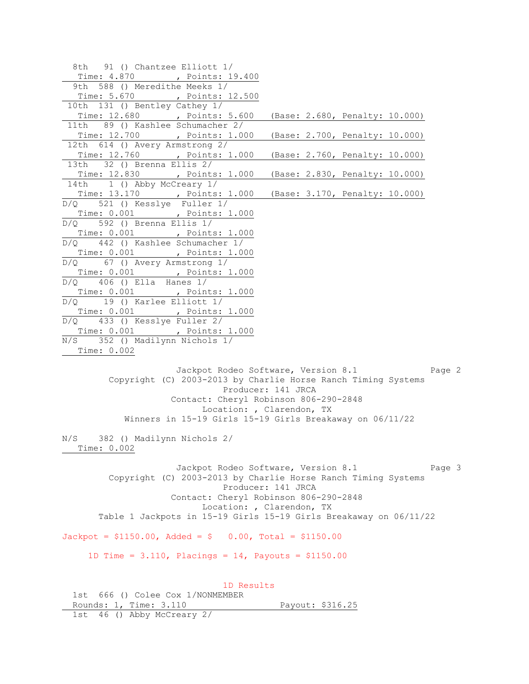8th 91 () Chantzee Elliott 1/ Time: 4.870 , Points: 19.400 9th 588 () Meredithe Meeks 1/ Time: 5.670 , Points: 12.500 10th 131 () Bentley Cathey 1/ Time: 12.680 , Points: 5.600 (Base: 2.680, Penalty: 10.000) 11th 89 () Kashlee Schumacher 2/ Time: 12.700 , Points: 1.000 (Base: 2.700, Penalty: 10.000) 12th 614 () Avery Armstrong 2/ Time: 12.760 , Points: 1.000 (Base: 2.760, Penalty: 10.000) 13th 32 () Brenna Ellis 2/ Time: 12.830 , Points: 1.000 (Base: 2.830, Penalty: 10.000) 14th 1 () Abby McCreary 1/ Time: 13.170 , Points: 1.000 (Base: 3.170, Penalty: 10.000) D/Q 521 () Kesslye Fuller 1/ Time: 0.001 , Points: 1.000 D/Q 592 () Brenna Ellis 1/ Time: 0.001 , Points: 1.000 D/Q 442 () Kashlee Schumacher 1/ Time: 0.001 , Points: 1.000 D/Q 67 () Avery Armstrong 1/ Time: 0.001 , Points: 1.000  $D/O$  406 () Ella Hanes  $1/$ Time: 0.001 , Points: 1.000 D/Q 19 () Karlee Elliott 1/ Time: 0.001 , Points: 1.000 D/Q 433 () Kesslye Fuller 2/ Time: 0.001 , Points: 1.000 N/S 352 () Madilynn Nichols 1/ Time: 0.002 Jackpot Rodeo Software, Version 8.1 Page 2 Copyright (C) 2003-2013 by Charlie Horse Ranch Timing Systems Producer: 141 JRCA Contact: Cheryl Robinson 806-290-2848 Location: , Clarendon, TX Winners in 15-19 Girls 15-19 Girls Breakaway on 06/11/22 N/S 382 () Madilynn Nichols 2/ Time: 0.002 Jackpot Rodeo Software, Version 8.1 Page 3 Copyright (C) 2003-2013 by Charlie Horse Ranch Timing Systems Producer: 141 JRCA Contact: Cheryl Robinson 806-290-2848 Location: , Clarendon, TX Table 1 Jackpots in 15-19 Girls 15-19 Girls Breakaway on 06/11/22  $Jackpot = $1150.00$ ,  $Added = $ 0.00$ ,  $Total = $1150.00$ 1D Time =  $3.110$ , Placings =  $14$ , Payouts =  $$1150.00$  1D Results 1st 666 () Colee Cox 1/NONMEMBER Rounds: 1, Time: 3.110 Payout: \$316.25 1st 46 () Abby McCreary 2/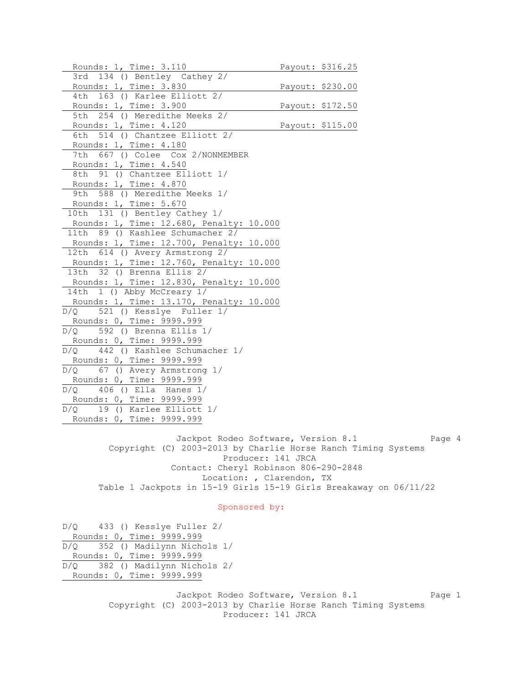Rounds: 1, Time: 3.110 Payout: \$316.25 3rd 134 () Bentley Cathey 2/ Rounds: 1, Time: 3.830 Payout: \$230.00 4th 163 () Karlee Elliott 2/ Rounds: 1, Time: 3.900 Payout: \$172.50 5th 254 () Meredithe Meeks 2/ Rounds: 1, Time: 4.120 Payout: \$115.00 6th 514 () Chantzee Elliott 2/ Rounds: 1, Time: 4.180 7th 667 () Colee Cox 2/NONMEMBER Rounds: 1, Time: 4.540 8th 91 () Chantzee Elliott 1/ Rounds: 1, Time: 4.870 9th 588 () Meredithe Meeks 1/ Rounds: 1, Time: 5.670 10th 131 () Bentley Cathey 1/ Rounds: 1, Time: 12.680, Penalty: 10.000 11th 89 () Kashlee Schumacher 2/ Rounds: 1, Time: 12.700, Penalty: 10.000 12th 614 () Avery Armstrong 2/ Rounds: 1, Time: 12.760, Penalty: 10.000 13th 32 () Brenna Ellis 2/ Rounds: 1, Time: 12.830, Penalty: 10.000 14th 1 () Abby McCreary 1/ Rounds: 1, Time: 13.170, Penalty: 10.000 D/Q 521 () Kesslye Fuller 1/ Rounds: 0, Time: 9999.999 D/Q 592 () Brenna Ellis 1/ Rounds: 0, Time: 9999.999 D/Q 442 () Kashlee Schumacher 1/ Rounds: 0, Time: 9999.999 D/Q 67 () Avery Armstrong 1/ Rounds: 0, Time: 9999.999 D/Q 406 () Ella Hanes 1/ Rounds: 0, Time: 9999.999 D/Q 19 () Karlee Elliott 1/ Rounds: 0, Time: 9999.999

> Jackpot Rodeo Software, Version 8.1 Page 4 Copyright (C) 2003-2013 by Charlie Horse Ranch Timing Systems Producer: 141 JRCA Contact: Cheryl Robinson 806-290-2848 Location: , Clarendon, TX Table 1 Jackpots in 15-19 Girls 15-19 Girls Breakaway on 06/11/22

## Sponsored by:

D/Q 433 () Kesslye Fuller 2/ Rounds: 0, Time: 9999.999 D/Q 352 () Madilynn Nichols 1/ Rounds: 0, Time: 9999.999 D/Q 382 () Madilynn Nichols 2/ Rounds: 0, Time: 9999.999

> Jackpot Rodeo Software, Version 8.1 Page 1 Copyright (C) 2003-2013 by Charlie Horse Ranch Timing Systems Producer: 141 JRCA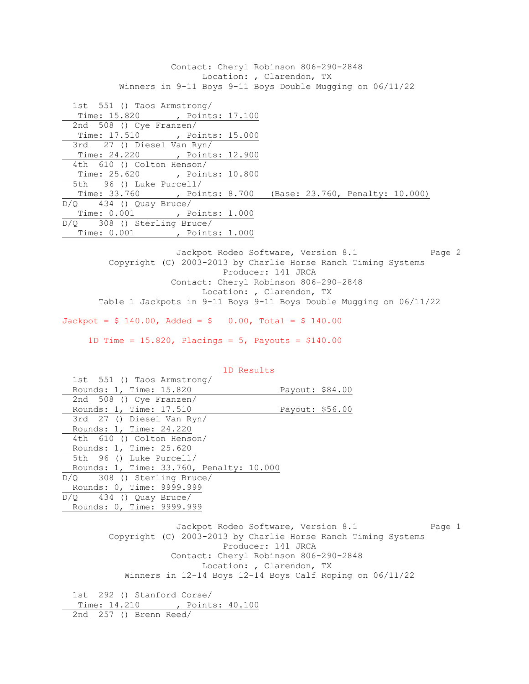Contact: Cheryl Robinson 806-290-2848 Location: , Clarendon, TX Winners in 9-11 Boys 9-11 Boys Double Mugging on 06/11/22 1st 551 () Taos Armstrong/ Time: 15.820 , Points: 17.100 2nd 508 () Cye Franzen/ Time: 17.510 , Points: 15.000 3rd 27 () Diesel Van Ryn/ Time: 24.220 , Points: 12.900 4th 610 () Colton Henson/ Time: 25.620 , Points: 10.800 5th 96 () Luke Purcell/ Time: 33.760 , Points: 8.700 (Base: 23.760, Penalty: 10.000) D/Q 434 () Quay Bruce/ Time: 0.001 , Points: 1.000 D/Q 308 () Sterling Bruce/ Time: 0.001 , Points: 1.000

Jackpot Rodeo Software, Version 8.1 Page 2 Copyright (C) 2003-2013 by Charlie Horse Ranch Timing Systems Producer: 141 JRCA Contact: Cheryl Robinson 806-290-2848 Location: , Clarendon, TX Table 1 Jackpots in 9-11 Boys 9-11 Boys Double Mugging on 06/11/22

 $Jackpot = $ 140.00$ ,  $Added = $ 0.00$ ,  $Total = $ 140.00$ 

1D Time =  $15.820$ , Placings =  $5$ , Payouts =  $$140.00$ 

| 1D Results                                                                                                                                                                                                                                                                   |  |  |  |  |
|------------------------------------------------------------------------------------------------------------------------------------------------------------------------------------------------------------------------------------------------------------------------------|--|--|--|--|
| 1st 551 () Taos Armstrong/                                                                                                                                                                                                                                                   |  |  |  |  |
| Rounds: 1, Time: 15.820<br>Payout: \$84.00                                                                                                                                                                                                                                   |  |  |  |  |
| 2nd 508 () Cye Franzen/                                                                                                                                                                                                                                                      |  |  |  |  |
| Rounds: 1, Time: 17.510<br>Payout: \$56.00                                                                                                                                                                                                                                   |  |  |  |  |
| 3rd 27 () Diesel Van Ryn/                                                                                                                                                                                                                                                    |  |  |  |  |
| Rounds: 1, Time: 24.220                                                                                                                                                                                                                                                      |  |  |  |  |
| 4th 610 () Colton Henson/                                                                                                                                                                                                                                                    |  |  |  |  |
| Rounds: 1, Time: 25.620                                                                                                                                                                                                                                                      |  |  |  |  |
| 5th 96 () Luke Purcell/                                                                                                                                                                                                                                                      |  |  |  |  |
| Rounds: 1, Time: 33.760, Penalty: 10.000                                                                                                                                                                                                                                     |  |  |  |  |
| $D/Q$ 308 () Sterling Bruce/                                                                                                                                                                                                                                                 |  |  |  |  |
| Rounds: 0, Time: 9999.999                                                                                                                                                                                                                                                    |  |  |  |  |
| $D/Q$ 434 () Quay Bruce/                                                                                                                                                                                                                                                     |  |  |  |  |
| Rounds: 0, Time: 9999.999                                                                                                                                                                                                                                                    |  |  |  |  |
| Jackpot Rodeo Software, Version 8.1<br>Page 1<br>Copyright (C) 2003-2013 by Charlie Horse Ranch Timing Systems<br>Producer: 141 JRCA<br>Contact: Cheryl Robinson 806-290-2848<br>Location: , Clarendon, TX<br>Winners in $12-14$ Boys $12-14$ Boys Calf Roping on $06/11/22$ |  |  |  |  |
| 1st 292 () Stanford Corse/<br>Time: 14.210 , Points: 40.100                                                                                                                                                                                                                  |  |  |  |  |
| 2nd $257$ () Brenn Reed/                                                                                                                                                                                                                                                     |  |  |  |  |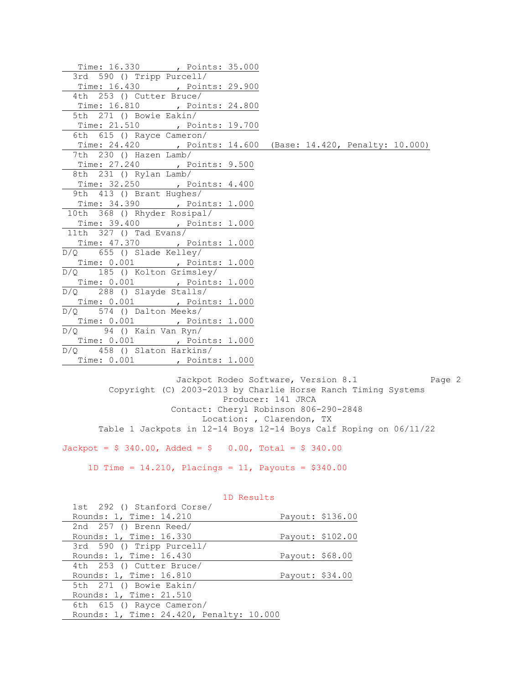| Time: 16.330 , Points: 35.000                                 |  |  |  |
|---------------------------------------------------------------|--|--|--|
| 3rd 590 () Tripp Purcell/                                     |  |  |  |
| Time: 16.430 , Points: 29.900                                 |  |  |  |
| 4th 253 () Cutter Bruce/                                      |  |  |  |
| Time: 16.810 , Points: 24.800                                 |  |  |  |
| 5th 271 () Bowie Eakin/                                       |  |  |  |
| Time: 21.510 , Points: 19.700<br>6th 615 () Rayce Cameron/    |  |  |  |
|                                                               |  |  |  |
| Time: 24.420 , Points: 14.600 (Base: 14.420, Penalty: 10.000) |  |  |  |
| 7th 230 () Hazen Lamb/                                        |  |  |  |
| Time: 27.240 , Points: 9.500                                  |  |  |  |
| 8th 231 () Rylan Lamb/                                        |  |  |  |
| Time: 32.250 , Points: 4.400<br>9th 413 () Brant Hughes/      |  |  |  |
|                                                               |  |  |  |
| Time: 34.390 , Points: 1.000                                  |  |  |  |
| 10th 368 () Rhyder Rosipal/                                   |  |  |  |
| Time: 39.400 , Points: 1.000<br>11th 327 () Tad Evans/        |  |  |  |
|                                                               |  |  |  |
| Time: 47.370 , Points: 1.000                                  |  |  |  |
| $D/Q$ 655 () Slade Kelley/                                    |  |  |  |
| Time: 0.001, Points: 1.000                                    |  |  |  |
| D/Q 185 () Kolton Grimsley/                                   |  |  |  |
| Time: 0.001 , Points: 1.000                                   |  |  |  |
| D/Q 288 () Slayde Stalls/                                     |  |  |  |
| Time: 0.001, Points: 1.000                                    |  |  |  |
| $D/Q$ 574 () Dalton Meeks/                                    |  |  |  |
| Time: 0.001 , Points: 1.000                                   |  |  |  |
| $\overline{D/Q}$ 94 () Kain Van Ryn/                          |  |  |  |
| Time: 0.001, Points: 1.000                                    |  |  |  |
| $D/Q$ 458 () Slaton Harkins/                                  |  |  |  |
| Time: 0.001 , Points: 1.000                                   |  |  |  |

Jackpot Rodeo Software, Version 8.1 Page 2 Copyright (C) 2003-2013 by Charlie Horse Ranch Timing Systems Producer: 141 JRCA Contact: Cheryl Robinson 806-290-2848 Location: , Clarendon, TX Table 1 Jackpots in 12-14 Boys 12-14 Boys Calf Roping on 06/11/22

 $Jackpot = $ 340.00, \text{ Added} = $ 0.00, \text{ Total} = $ 340.00$ 

1D Time =  $14.210$ , Placings =  $11$ , Payouts = \$340.00

| 1st 292 () Stanford Corse/               |                 |                  |
|------------------------------------------|-----------------|------------------|
| Rounds: 1, Time: 14.210                  |                 | Payout: \$136.00 |
| 2nd 257 () Brenn Reed/                   |                 |                  |
| Rounds: 1, Time: 16.330                  |                 | Payout: \$102.00 |
| 3rd 590 () Tripp Purcell/                |                 |                  |
| Rounds: 1, Time: 16.430                  | Payout: \$68.00 |                  |
| 4th 253 () Cutter Bruce/                 |                 |                  |
| Rounds: 1, Time: 16.810                  | Payout: \$34.00 |                  |
| 5th 271 () Bowie Eakin/                  |                 |                  |
| Rounds: 1, Time: 21.510                  |                 |                  |
| 6th 615 () Rayce Cameron/                |                 |                  |
| Rounds: 1, Time: 24.420, Penalty: 10.000 |                 |                  |
|                                          |                 |                  |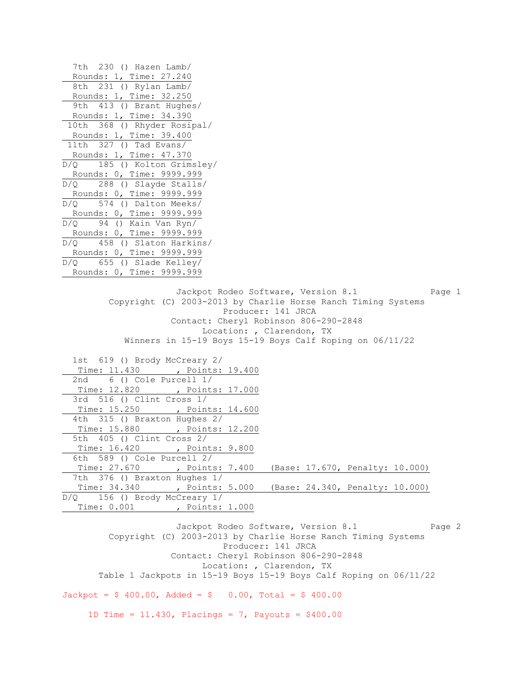7th 230 () Hazen Lamb/ Rounds: 1, Time: 27.240 8th 231 () Rylan Lamb/ Rounds: 1, Time: 32.250 9th 413 () Brant Hughes/ Rounds: 1, Time: 34.390 10th 368 () Rhyder Rosipal/ Rounds: 1, Time: 39.400 11th 327 () Tad Evans/ Rounds: 1, Time: 47.370 D/Q 185 () Kolton Grimsley/ Rounds: 0, Time: 9999.999 D/Q 288 () Slayde Stalls/ Rounds: 0, Time: 9999.999 D/Q 574 () Dalton Meeks/ Rounds: 0, Time: 9999.999 D/Q 94 () Kain Van Ryn/ Rounds: 0, Time: 9999.999 D/Q 458 () Slaton Harkins/ Rounds: 0, Time: 9999.999 D/Q 655 () Slade Kelley/ Rounds: 0, Time: 9999.999 Jackpot Rodeo Software, Version 8.1 Page 1 Copyright (C) 2003-2013 by Charlie Horse Ranch Timing Systems Producer: 141 JRCA Contact: Cheryl Robinson 806-290-2848 Location: , Clarendon, TX Winners in 15-19 Boys 15-19 Boys Calf Roping on 06/11/22 1st 619 () Brody McCreary 2/ Time: 11.430 , Points: 19.400 2nd 6 () Cole Purcell 1/ Time: 12.820 , Points: 17.000 3rd 516 () Clint Cross 1/ Time: 15.250 , Points: 14.600 4th 315 () Braxton Hughes 2/ Time: 15.880 , Points: 12.200 5th 405 () Clint Cross 2/ Time: 16.420 , Points: 9.800 6th 589 () Cole Purcell 2/ Time: 27.670 , Points: 7.400 (Base: 17.670, Penalty: 10.000) 7th 376 () Braxton Hughes 1/ Time: 34.340 , Points: 5.000 (Base: 24.340, Penalty: 10.000) D/Q 156 () Brody McCreary 1/ Time: 0.001 , Points: 1.000 Jackpot Rodeo Software, Version 8.1 Page 2 Copyright (C) 2003-2013 by Charlie Horse Ranch Timing Systems Producer: 141 JRCA

 Location: , Clarendon, TX Table 1 Jackpots in 15-19 Boys 15-19 Boys Calf Roping on 06/11/22

Contact: Cheryl Robinson 806-290-2848

 $Jackpot = $ 400.00$ ,  $Added = $ 0.00$ ,  $Total = $ 400.00$ 

1D Time =  $11.430$ , Placings = 7, Payouts = \$400.00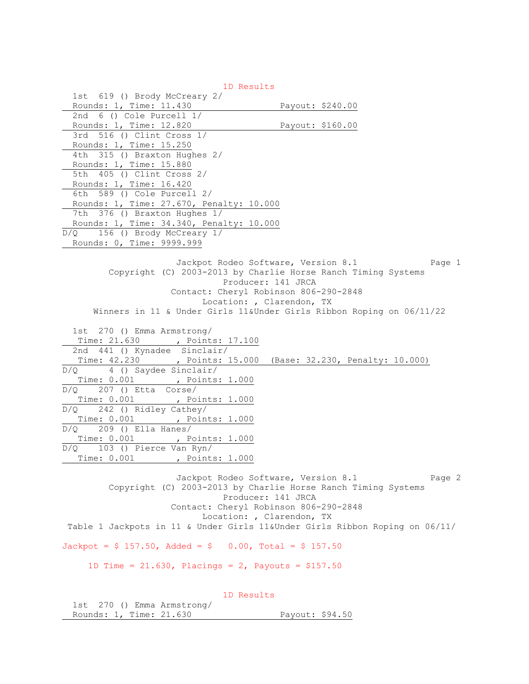1D Results 1st 619 () Brody McCreary 2/ Rounds: 1, Time: 11.430 Payout: \$240.00 2nd 6 () Cole Purcell 1/ Rounds: 1, Time: 12.820 Payout: \$160.00 3rd 516 () Clint Cross 1/ Rounds: 1, Time: 15.250 4th 315 () Braxton Hughes 2/ Rounds: 1, Time: 15.880 5th 405 () Clint Cross 2/ Rounds: 1, Time: 16.420 6th 589 () Cole Purcell 2/ Rounds: 1, Time: 27.670, Penalty: 10.000 7th 376 () Braxton Hughes 1/ Rounds: 1, Time: 34.340, Penalty: 10.000 D/Q 156 () Brody McCreary 1/ Rounds: 0, Time: 9999.999 Jackpot Rodeo Software, Version 8.1 Page 1 Copyright (C) 2003-2013 by Charlie Horse Ranch Timing Systems Producer: 141 JRCA Contact: Cheryl Robinson 806-290-2848 Location: , Clarendon, TX Winners in 11 & Under Girls 11&Under Girls Ribbon Roping on 06/11/22 1st 270 () Emma Armstrong/ Time: 21.630 , Points: 17.100 2nd 441 () Kynadee Sinclair/ Time: 42.230 , Points: 15.000 (Base: 32.230, Penalty: 10.000) D/Q 4 () Saydee Sinclair/ Time: 0.001 , Points: 1.000  $D/Q$  207 () Etta Corse/ Time: 0.001 , Points: 1.000 D/Q 242 () Ridley Cathey/ Time: 0.001 , Points: 1.000 D/Q 209 () Ella Hanes/ Time: 0.001 , Points: 1.000 D/Q 103 () Pierce Van Ryn/ Time: 0.001 , Points: 1.000 Jackpot Rodeo Software, Version 8.1 Page 2 Copyright (C) 2003-2013 by Charlie Horse Ranch Timing Systems Producer: 141 JRCA Contact: Cheryl Robinson 806-290-2848 Location: , Clarendon, TX Table 1 Jackpots in 11 & Under Girls 11&Under Girls Ribbon Roping on 06/11/  $Jackpot = $ 157.50$ ,  $Aded = $ 0.00$ ,  $Total = $ 157.50$ 1D Time =  $21.630$ , Placings =  $2$ , Payouts = \$157.50

|                            |  | 1D Results |                 |  |
|----------------------------|--|------------|-----------------|--|
| 1st 270 () Emma Armstrong/ |  |            |                 |  |
| Rounds: 1, Time: 21.630    |  |            | Payout: \$94.50 |  |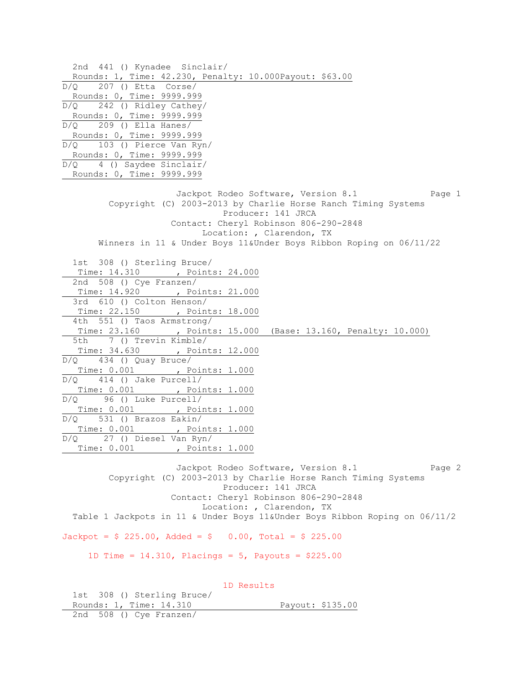2nd 441 () Kynadee Sinclair/ Rounds: 1, Time: 42.230, Penalty: 10.000Payout: \$63.00  $D/Q$  207 () Etta Corse/ Rounds: 0, Time: 9999.999 D/Q 242 () Ridley Cathey/ Rounds: 0, Time: 9999.999  $D/Q$  209 () Ella Hanes/ Rounds: 0, Time: 9999.999 D/Q 103 () Pierce Van Ryn/ Rounds: 0, Time: 9999.999 D/Q 4 () Saydee Sinclair/ Rounds: 0, Time: 9999.999 Jackpot Rodeo Software, Version 8.1 Page 1 Copyright (C) 2003-2013 by Charlie Horse Ranch Timing Systems Producer: 141 JRCA Contact: Cheryl Robinson 806-290-2848 Location: , Clarendon, TX Winners in 11 & Under Boys 11&Under Boys Ribbon Roping on 06/11/22 1st 308 () Sterling Bruce/ Time: 14.310 , Points: 24.000 2nd 508 () Cye Franzen/ Time: 14.920 , Points: 21.000 3rd 610 () Colton Henson/ Time: 22.150 , Points: 18.000 4th 551 () Taos Armstrong/ Time: 23.160 , Points: 15.000 (Base: 13.160, Penalty: 10.000) 5th 7 () Trevin Kimble/ Time: 34.630 , Points: 12.000  $D/Q$  434 () Quay Bruce/ Time: 0.001 , Points: 1.000 D/Q 414 () Jake Purcell/ Time: 0.001 , Points: 1.000 D/Q 96 () Luke Purcell/ Time: 0.001 , Points: 1.000 D/Q 531 () Brazos Eakin/ Time: 0.001 , Points: 1.000 D/Q 27 () Diesel Van Ryn/ Time: 0.001 , Points: 1.000 Jackpot Rodeo Software, Version 8.1 Page 2 Copyright (C) 2003-2013 by Charlie Horse Ranch Timing Systems Producer: 141 JRCA Contact: Cheryl Robinson 806-290-2848 Location: , Clarendon, TX Table 1 Jackpots in 11 & Under Boys 11&Under Boys Ribbon Roping on 06/11/2  $Jackpot = $ 225.00$ ,  $Added = $ 0.00$ ,  $Total = $ 225.00$ 1D Time =  $14.310$ , Placings =  $5$ , Payouts =  $$225.00$  1D Results 1st 308 () Sterling Bruce/ Rounds: 1, Time: 14.310 Payout: \$135.00

2nd 508 () Cye Franzen/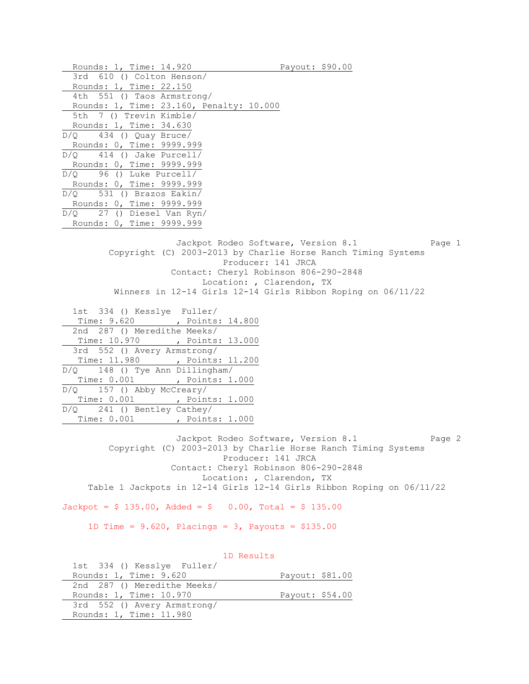Rounds: 1, Time: 14.920 Payout: \$90.00 3rd 610 () Colton Henson/ Rounds: 1, Time: 22.150 4th 551 () Taos Armstrong/ Rounds: 1, Time: 23.160, Penalty: 10.000 5th 7 () Trevin Kimble/ Rounds: 1, Time: 34.630  $D/Q$  434 () Quay Bruce/ Rounds: 0, Time: 9999.999 D/Q 414 () Jake Purcell/ Rounds: 0, Time: 9999.999 D/Q 96 () Luke Purcell/ Rounds: 0, Time: 9999.999 D/Q 531 () Brazos Eakin/ Rounds: 0, Time: 9999.999 D/Q 27 () Diesel Van Ryn/ Rounds: 0, Time: 9999.999 Jackpot Rodeo Software, Version 8.1 Page 1 Copyright (C) 2003-2013 by Charlie Horse Ranch Timing Systems Producer: 141 JRCA Contact: Cheryl Robinson 806-290-2848 Location: , Clarendon, TX Winners in 12-14 Girls 12-14 Girls Ribbon Roping on 06/11/22 1st 334 () Kesslye Fuller/ Time: 9.620 , Points: 14.800 2nd 287 () Meredithe Meeks/ Time: 10.970 , Points: 13.000 3rd 552 () Avery Armstrong/ Time: 11.980 , Points: 11.200 D/Q 148 () Tye Ann Dillingham/ Time: 0.001 , Points: 1.000 D/Q 157 () Abby McCreary/ Time: 0.001 , Points: 1.000 D/Q 241 () Bentley Cathey/ Time: 0.001 , Points: 1.000

Jackpot Rodeo Software, Version 8.1 Page 2 Copyright (C) 2003-2013 by Charlie Horse Ranch Timing Systems Producer: 141 JRCA Contact: Cheryl Robinson 806-290-2848 Location: , Clarendon, TX Table 1 Jackpots in 12-14 Girls 12-14 Girls Ribbon Roping on 06/11/22

 $Jackpot = $ 135.00, \text{ Added} = $ 0.00, \text{ Total} = $ 135.00$ 

1D Time =  $9.620$ , Placings =  $3$ , Payouts =  $$135.00$ 

 1D Results 1st 334 () Kesslye Fuller/ Rounds: 1, Time: 9.620 Payout: \$81.00 2nd 287 () Meredithe Meeks/ Rounds: 1, Time: 10.970 Payout: \$54.00 3rd 552 () Avery Armstrong/ Rounds: 1, Time: 11.980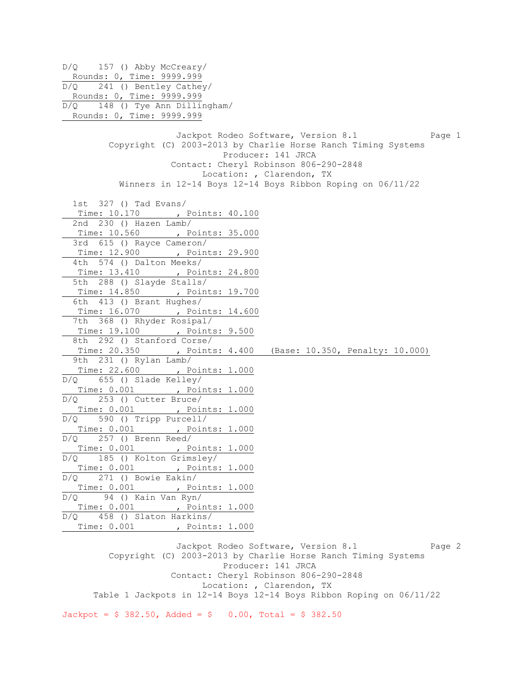D/Q 157 () Abby McCreary/ Rounds: 0, Time: 9999.999 D/Q 241 () Bentley Cathey/ Rounds: 0, Time: 9999.999 D/Q 148 () Tye Ann Dillingham/ Rounds: 0, Time: 9999.999 Jackpot Rodeo Software, Version 8.1 Page 1 Copyright (C) 2003-2013 by Charlie Horse Ranch Timing Systems Producer: 141 JRCA Contact: Cheryl Robinson 806-290-2848 Location: , Clarendon, TX Winners in 12-14 Boys 12-14 Boys Ribbon Roping on 06/11/22 1st 327 () Tad Evans/ Time: 10.170 , Points: 40.100 2nd 230 () Hazen Lamb/ Time: 10.560 , Points: 35.000 3rd 615 () Rayce Cameron/ Time: 12.900 , Points: 29.900 4th 574 () Dalton Meeks/ Time: 13.410 , Points: 24.800 5th 288 () Slayde Stalls/ Time: 14.850 , Points: 19.700 6th 413 () Brant Hughes/ Time: 16.070 , Points: 14.600 7th 368 () Rhyder Rosipal/ Time: 19.100 , Points: 9.500 8th 292 () Stanford Corse/ Time: 20.350 , Points: 4.400 (Base: 10.350, Penalty: 10.000) 9th 231 () Rylan Lamb/ Time: 22.600 , Points: 1.000 D/Q 655 () Slade Kelley/ Time: 0.001 , Points: 1.000 D/Q 253 () Cutter Bruce/ Time: 0.001 , Points: 1.000 D/Q 590 () Tripp Purcell/ Time: 0.001 , Points: 1.000 D/Q 257 () Brenn Reed/ Time: 0.001 , Points: 1.000 D/Q 185 () Kolton Grimsley/ Time: 0.001 , Points: 1.000 D/Q 271 () Bowie Eakin/ Time: 0.001 , Points: 1.000 D/Q 94 () Kain Van Ryn/ Time: 0.001 , Points: 1.000 D/Q 458 () Slaton Harkins/ Time: 0.001 , Points: 1.000

Jackpot Rodeo Software, Version 8.1 Page 2 Copyright (C) 2003-2013 by Charlie Horse Ranch Timing Systems Producer: 141 JRCA Contact: Cheryl Robinson 806-290-2848 Location: , Clarendon, TX Table 1 Jackpots in 12-14 Boys 12-14 Boys Ribbon Roping on 06/11/22

 $Jackpot = $ 382.50$ ,  $Added = $ 0.00$ ,  $Total = $ 382.50$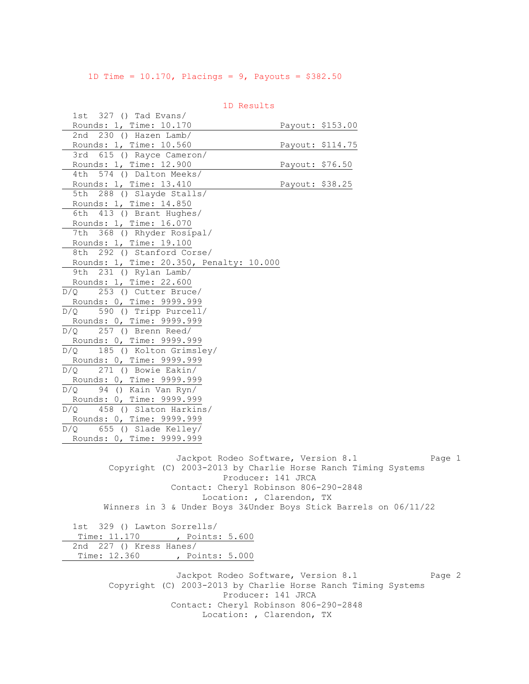1D Time = 10.170, Placings = 9, Payouts = \$382.50

 1st 327 () Tad Evans/ Rounds: 1, Time: 10.170 Payout: \$153.00 2nd 230 () Hazen Lamb/ Rounds: 1, Time: 10.560 Payout: \$114.75 3rd 615 () Rayce Cameron/ Rounds: 1, Time: 12.900 Payout: \$76.50 4th 574 () Dalton Meeks/ Rounds: 1, Time: 13.410 Payout: \$38.25 5th 288 () Slayde Stalls/ Rounds: 1, Time: 14.850 6th 413 () Brant Hughes/ Rounds: 1, Time: 16.070 7th 368 () Rhyder Rosipal/ Rounds: 1, Time: 19.100 8th 292 () Stanford Corse/ Rounds: 1, Time: 20.350, Penalty: 10.000 9th 231 () Rylan Lamb/ Rounds: 1, Time: 22.600 D/Q 253 () Cutter Bruce/ Rounds: 0, Time: 9999.999 D/Q 590 () Tripp Purcell/ Rounds: 0, Time: 9999.999 D/Q 257 () Brenn Reed/ Rounds: 0, Time: 9999.999 D/Q 185 () Kolton Grimsley/ Rounds: 0, Time: 9999.999 D/Q 271 () Bowie Eakin/ Rounds: 0, Time: 9999.999 D/Q 94 () Kain Van Ryn/ Rounds: 0, Time: 9999.999 D/Q 458 () Slaton Harkins/ Rounds: 0, Time: 9999.999 D/Q 655 () Slade Kelley/ Rounds: 0, Time: 9999.999 Jackpot Rodeo Software, Version 8.1 Page 1 Copyright (C) 2003-2013 by Charlie Horse Ranch Timing Systems Producer: 141 JRCA Contact: Cheryl Robinson 806-290-2848 Location: , Clarendon, TX Winners in 3 & Under Boys 3&Under Boys Stick Barrels on 06/11/22

1D Results

 1st 329 () Lawton Sorrells/ Time: 11.170 , Points: 5.600 2nd 227 () Kress Hanes/ Time: 12.360 , Points: 5.000

> Jackpot Rodeo Software, Version 8.1 Page 2 Copyright (C) 2003-2013 by Charlie Horse Ranch Timing Systems Producer: 141 JRCA Contact: Cheryl Robinson 806-290-2848 Location: , Clarendon, TX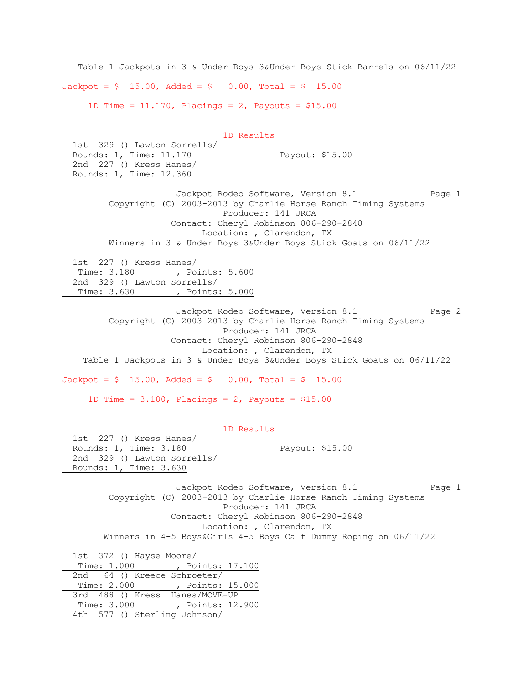Table 1 Jackpots in 3 & Under Boys 3&Under Boys Stick Barrels on 06/11/22  $Jackpot = $ 15.00, \text{ Added} = $ 0.00, \text{ Total} = $ 15.00$ 1D Time = 11.170, Placings = 2, Payouts = \$15.00

 1D Results 1st 329 () Lawton Sorrells/ Rounds: 1, Time: 11.170 Payout: \$15.00 2nd 227 () Kress Hanes/ Rounds: 1, Time: 12.360 Jackpot Rodeo Software, Version 8.1 Page 1 Copyright (C) 2003-2013 by Charlie Horse Ranch Timing Systems Producer: 141 JRCA Contact: Cheryl Robinson 806-290-2848 Location: , Clarendon, TX Winners in 3 & Under Boys 3&Under Boys Stick Goats on 06/11/22 1st 227 () Kress Hanes/ Time: 3.180 , Points: 5.600 2nd 329 () Lawton Sorrells/ Time: 3.630 , Points: 5.000 Jackpot Rodeo Software, Version 8.1 Page 2 Copyright (C) 2003-2013 by Charlie Horse Ranch Timing Systems Producer: 141 JRCA Contact: Cheryl Robinson 806-290-2848 Location: , Clarendon, TX Table 1 Jackpots in 3 & Under Boys 3&Under Boys Stick Goats on 06/11/22  $Jackpot = $ 15.00, \text{ Added} = $ 0.00, \text{ Total} = $ 15.00$ 1D Time =  $3.180$ , Placings =  $2$ , Payouts =  $$15.00$  1D Results 1st 227 () Kress Hanes/ Rounds: 1, Time: 3.180 Payout: \$15.00 2nd 329 () Lawton Sorrells/ Rounds: 1, Time: 3.630 Jackpot Rodeo Software, Version 8.1 Page 1 Copyright (C) 2003-2013 by Charlie Horse Ranch Timing Systems Producer: 141 JRCA Contact: Cheryl Robinson 806-290-2848 Location: , Clarendon, TX Winners in 4-5 Boys&Girls 4-5 Boys Calf Dummy Roping on 06/11/22 1st 372 () Hayse Moore/ Time: 1.000 , Points: 17.100

2nd 64 () Kreece Schroeter/ Time: 2.000 , Points: 15.000 3rd 488 () Kress Hanes/MOVE-UP Time: 3.000 , Points: 12.900 4th 577 () Sterling Johnson/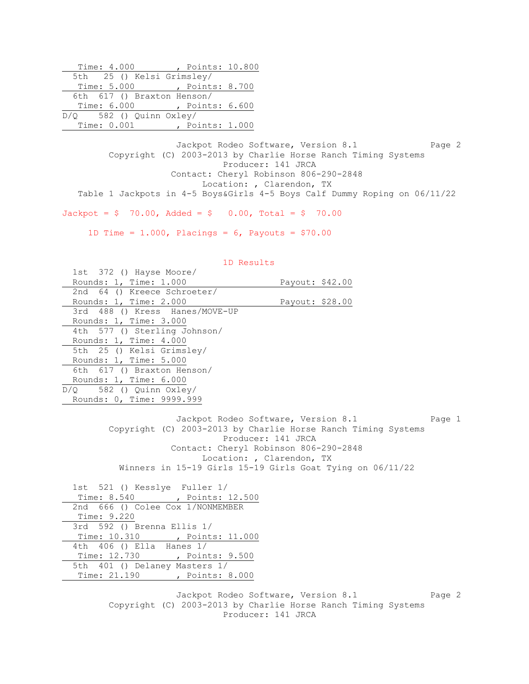| Time: 4.000                 | Points: 10.800  |  |
|-----------------------------|-----------------|--|
| 5th 25 () Kelsi Grimsley/   |                 |  |
| Time: 5.000 , Points: 8.700 |                 |  |
| 6th 617 () Braxton Henson/  |                 |  |
| Time: 6.000 , Points: 6.600 |                 |  |
| $D/Q$ 582 () Quinn Oxley/   |                 |  |
| Time: $0.001$               | , Points: 1.000 |  |

Jackpot Rodeo Software, Version 8.1 Page 2 Copyright (C) 2003-2013 by Charlie Horse Ranch Timing Systems Producer: 141 JRCA Contact: Cheryl Robinson 806-290-2848 Location: , Clarendon, TX Table 1 Jackpots in 4-5 Boys&Girls 4-5 Boys Calf Dummy Roping on 06/11/22

 $Jackpot = $ 70.00, \text{ Added} = $ 0.00, \text{ Total} = $ 70.00$ 

1D Time = 1.000, Placings =  $6$ , Payouts =  $$70.00$ 

| 1D Results                       |                                                                                                                                                                                                                                                               |        |
|----------------------------------|---------------------------------------------------------------------------------------------------------------------------------------------------------------------------------------------------------------------------------------------------------------|--------|
| 1st 372 () Hayse Moore/          |                                                                                                                                                                                                                                                               |        |
| Rounds: 1, Time: 1.000           | Payout: \$42.00                                                                                                                                                                                                                                               |        |
| 2nd 64 () Kreece Schroeter/      |                                                                                                                                                                                                                                                               |        |
| Rounds: 1, Time: 2.000           | Payout: \$28.00                                                                                                                                                                                                                                               |        |
| 3rd 488 () Kress Hanes/MOVE-UP   |                                                                                                                                                                                                                                                               |        |
| Rounds: 1, Time: 3.000           |                                                                                                                                                                                                                                                               |        |
| 4th 577 () Sterling Johnson/     |                                                                                                                                                                                                                                                               |        |
| Rounds: 1, Time: 4.000           |                                                                                                                                                                                                                                                               |        |
| 5th 25 () Kelsi Grimsley/        |                                                                                                                                                                                                                                                               |        |
| Rounds: 1, Time: 5.000           |                                                                                                                                                                                                                                                               |        |
| 6th 617 () Braxton Henson/       |                                                                                                                                                                                                                                                               |        |
| Rounds: 1, Time: 6.000           |                                                                                                                                                                                                                                                               |        |
| $D/Q$ 582 () Quinn Oxley/        |                                                                                                                                                                                                                                                               |        |
| Rounds: 0, Time: 9999.999        |                                                                                                                                                                                                                                                               |        |
|                                  | Jackpot Rodeo Software, Version 8.1<br>Copyright (C) 2003-2013 by Charlie Horse Ranch Timing Systems<br>Producer: 141 JRCA<br>Contact: Cheryl Robinson 806-290-2848<br>Location: , Clarendon, TX<br>Winners in 15-19 Girls 15-19 Girls Goat Tying on 06/11/22 | Page 1 |
| 1st 521 () Kesslye Fuller 1/     |                                                                                                                                                                                                                                                               |        |
| Time: 8.540 , Points: 12.500     |                                                                                                                                                                                                                                                               |        |
| 2nd 666 () Colee Cox 1/NONMEMBER |                                                                                                                                                                                                                                                               |        |
| Time: 9.220                      |                                                                                                                                                                                                                                                               |        |
| 3rd 592 () Brenna Ellis 1/       |                                                                                                                                                                                                                                                               |        |
| Time: 10.310 , Points: 11.000    |                                                                                                                                                                                                                                                               |        |
| 4th 406 () Ella Hanes 1/         |                                                                                                                                                                                                                                                               |        |
| Time: 12.730 , Points: 9.500     |                                                                                                                                                                                                                                                               |        |
| 5th 401 () Delaney Masters 1/    |                                                                                                                                                                                                                                                               |        |
| Time: 21.190 , Points: 8.000     |                                                                                                                                                                                                                                                               |        |
|                                  |                                                                                                                                                                                                                                                               |        |

Jackpot Rodeo Software, Version 8.1 Page 2 Copyright (C) 2003-2013 by Charlie Horse Ranch Timing Systems Producer: 141 JRCA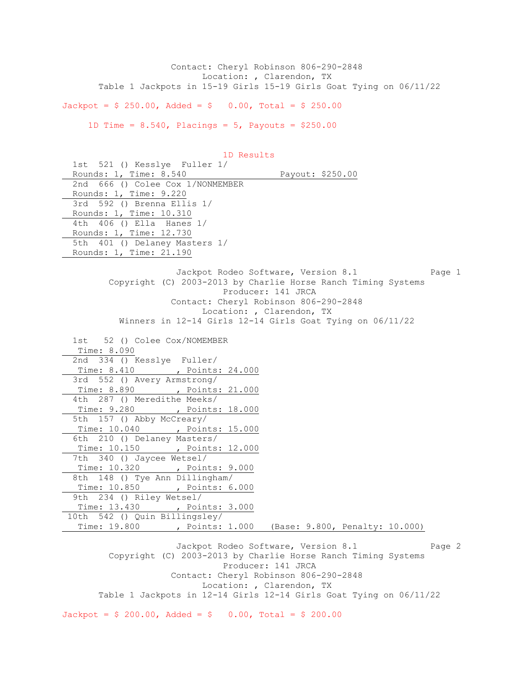Contact: Cheryl Robinson 806-290-2848 Location: , Clarendon, TX Table 1 Jackpots in 15-19 Girls 15-19 Girls Goat Tying on 06/11/22

 $Jackpot = $ 250.00, \text{ Added} = $ 0.00, \text{ Total} = $ 250.00$ 

1D Time =  $8.540$ , Placings =  $5$ , Payouts =  $$250.00$ 

 1D Results 1st 521 () Kesslye Fuller 1/ Rounds: 1, Time: 8.540 Payout: \$250.00 2nd 666 () Colee Cox 1/NONMEMBER Rounds: 1, Time: 9.220 3rd 592 () Brenna Ellis 1/ Rounds: 1, Time: 10.310 4th 406 () Ella Hanes 1/ Rounds: 1, Time: 12.730 5th 401 () Delaney Masters 1/ Rounds: 1, Time: 21.190 Jackpot Rodeo Software, Version 8.1 Page 1 Copyright (C) 2003-2013 by Charlie Horse Ranch Timing Systems Producer: 141 JRCA Contact: Cheryl Robinson 806-290-2848 Location: , Clarendon, TX Winners in 12-14 Girls 12-14 Girls Goat Tying on 06/11/22 1st 52 () Colee Cox/NOMEMBER Time: 8.090 2nd 334 () Kesslye Fuller/ Time: 8.410 , Points: 24.000 3rd 552 () Avery Armstrong/ Time: 8.890 , Points: 21.000 4th 287 () Meredithe Meeks/ Time: 9.280 , Points: 18.000 5th 157 () Abby McCreary/ Time: 10.040 , Points: 15.000 6th 210 () Delaney Masters/ Time: 10.150 , Points: 12.000 7th 340 () Jaycee Wetsel/ Time: 10.320 , Points: 9.000 8th 148 () Tye Ann Dillingham/ Time: 10.850 , Points: 6.000 9th 234 () Riley Wetsel/ Time: 13.430 , Points: 3.000 10th 542 () Quin Billingsley/ Time: 19.800 , Points: 1.000 (Base: 9.800, Penalty: 10.000)

Jackpot Rodeo Software, Version 8.1 Page 2 Copyright (C) 2003-2013 by Charlie Horse Ranch Timing Systems Producer: 141 JRCA Contact: Cheryl Robinson 806-290-2848 Location: , Clarendon, TX Table 1 Jackpots in 12-14 Girls 12-14 Girls Goat Tying on 06/11/22

 $Jackpot = $ 200.00, \text{ Added} = $ 0.00, \text{ Total} = $ 200.00$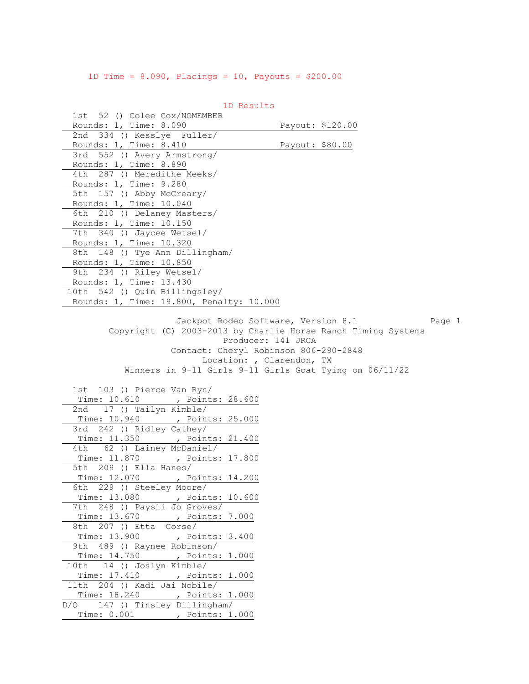1D Time = 8.090, Placings = 10, Payouts = \$200.00

| ID RESUITS                                                  |                                                               |
|-------------------------------------------------------------|---------------------------------------------------------------|
| 1st 52 () Colee Cox/NOMEMBER                                |                                                               |
| Rounds: 1, Time: 8.090                                      | Payout: \$120.00                                              |
| 2nd 334 () Kesslye Fuller/                                  |                                                               |
| Rounds: 1, Time: 8.410                                      | Payout: \$80.00                                               |
| 3rd 552 () Avery Armstrong/<br>Rounds: 1, Time: 8.890       |                                                               |
| 4th 287 () Meredithe Meeks/                                 |                                                               |
| Rounds: 1, Time: 9.280                                      |                                                               |
| 5th 157 () Abby McCreary/                                   |                                                               |
| Rounds: 1, Time: 10.040                                     |                                                               |
| 6th 210 () Delaney Masters/                                 |                                                               |
| Rounds: 1, Time: 10.150                                     |                                                               |
| 7th 340 () Jaycee Wetsel/                                   |                                                               |
| Rounds: 1, Time: 10.320                                     |                                                               |
| 8th 148 () Tye Ann Dillingham/                              |                                                               |
| Rounds: 1, Time: 10.850                                     |                                                               |
| 9th 234 () Riley Wetsel/                                    |                                                               |
| Rounds: 1, Time: 13.430                                     |                                                               |
| 10th 542 () Quin Billingsley/                               |                                                               |
| Rounds: 1, Time: 19.800, Penalty: 10.000                    |                                                               |
|                                                             |                                                               |
|                                                             | Jackpot Rodeo Software, Version 8.1<br>Page 1                 |
|                                                             | Copyright (C) 2003-2013 by Charlie Horse Ranch Timing Systems |
|                                                             | Producer: 141 JRCA                                            |
|                                                             | Contact: Cheryl Robinson 806-290-2848                         |
|                                                             | Location: , Clarendon, TX                                     |
|                                                             | Winners in 9-11 Girls 9-11 Girls Goat Tying on 06/11/22       |
|                                                             |                                                               |
| 1st 103 () Pierce Van Ryn/                                  |                                                               |
| Time: 10.610 , Points: 28.600                               |                                                               |
| 2nd 17 () Tailyn Kimble/                                    |                                                               |
| Time: 10.940<br>, Points: 25.000                            |                                                               |
| 3rd 242 () Ridley Cathey/                                   |                                                               |
| Time: 11.350 , Points: 21.400<br>4th 62 () Lainey McDaniel/ |                                                               |
|                                                             |                                                               |
| Time: 11.870 , Points: 17.800<br>5th 209 () Ella Hanes/     |                                                               |
| Time: 12.070 , Points: 14.200                               |                                                               |
| 6th 229 () Steeley Moore/                                   |                                                               |
| Time: 13.080 , Points: 10.600                               |                                                               |
| 7th 248 () Paysli Jo Groves/                                |                                                               |
| Time: 13.670<br>, Points: 7.000                             |                                                               |
| 207 () Etta Corse/<br>8th                                   |                                                               |
| Time: 13.900<br>, Points: 3.400                             |                                                               |
| 9th 489 () Raynee Robinson/                                 |                                                               |
| Time: 14.750<br>, Points: 1.000                             |                                                               |
| 10th 14 () Joslyn Kimble/                                   |                                                               |
| Time: 17.410<br>, Points: 1.000                             |                                                               |
| 11th 204 () Kadi Jai Nobile/                                |                                                               |
| Time: 18.240<br>, Points: 1.000                             |                                                               |
| 147 () Tinsley Dillingham/<br>D/Q                           |                                                               |
| Time: 0.001 , Points: 1.000                                 |                                                               |
|                                                             |                                                               |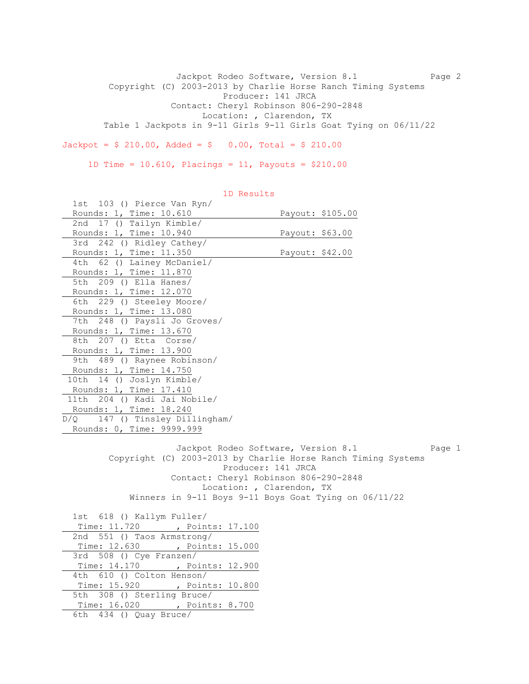Jackpot Rodeo Software, Version 8.1 Page 2 Copyright (C) 2003-2013 by Charlie Horse Ranch Timing Systems Producer: 141 JRCA Contact: Cheryl Robinson 806-290-2848 Location: , Clarendon, TX Table 1 Jackpots in 9-11 Girls 9-11 Girls Goat Tying on 06/11/22  $Jackpot = $ 210.00, \text{ Added} = $ 0.00, \text{ Total} = $ 210.00$ 

1D Time = 10.610, Placings = 11, Payouts = \$210.00

| 1st 103 () Pierce Van Ryn/                                    |                                               |  |
|---------------------------------------------------------------|-----------------------------------------------|--|
| Rounds: 1, Time: 10.610                                       | Payout: \$105.00                              |  |
| 17 () Tailyn Kimble/<br>2nd                                   |                                               |  |
| Rounds: 1, Time: 10.940                                       | Payout: \$63.00                               |  |
| 3rd 242 () Ridley Cathey/                                     |                                               |  |
| Rounds: 1, Time: 11.350                                       | Payout: \$42.00                               |  |
| 62 () Lainey McDaniel/<br>4th                                 |                                               |  |
| Rounds: 1, Time: 11.870                                       |                                               |  |
| 5th 209 () Ella Hanes/                                        |                                               |  |
| Rounds: 1, Time: 12.070                                       |                                               |  |
| 6th 229 () Steeley Moore/                                     |                                               |  |
| Rounds: 1, Time: 13.080                                       |                                               |  |
| 7th 248 () Paysli Jo Groves/                                  |                                               |  |
| Rounds: 1, Time: 13.670                                       |                                               |  |
| 207 () Etta Corse/<br>8th                                     |                                               |  |
| Rounds: 1, Time: 13.900                                       |                                               |  |
| 9th 489 () Raynee Robinson/                                   |                                               |  |
| Rounds: 1, Time: 14.750                                       |                                               |  |
| 10th 14 () Joslyn Kimble/                                     |                                               |  |
| Rounds: 1, Time: 17.410                                       |                                               |  |
| 11th 204 () Kadi Jai Nobile/                                  |                                               |  |
| Rounds: 1, Time: 18.240                                       |                                               |  |
| 147 () Tinsley Dillingham/<br>D/O                             |                                               |  |
| Rounds: 0, Time: 9999.999                                     |                                               |  |
|                                                               |                                               |  |
|                                                               | Jackpot Rodeo Software, Version 8.1<br>Page 1 |  |
| Copyright (C) 2003-2013 by Charlie Horse Ranch Timing Systems |                                               |  |
| Producer: 141 JRCA                                            |                                               |  |
| Contact: Cheryl Robinson 806-290-2848                         |                                               |  |
| Location: , Clarendon, TX                                     |                                               |  |
| Winners in 9-11 Boys 9-11 Boys Goat Tying on 06/11/22         |                                               |  |
|                                                               |                                               |  |
| 1st 618 () Kallym Fuller/                                     |                                               |  |
| Time: 11.720 , Points: 17.100                                 |                                               |  |
| 2nd 551 () Taos Armstrong/                                    |                                               |  |
| Time: 12.630 , Points: 15.000                                 |                                               |  |
| 3rd 508 () Cye Franzen/                                       |                                               |  |
| Time: 14.170 , Points: 12.900                                 |                                               |  |
| 610 () Colton Henson/<br>4th                                  |                                               |  |
| Time: 15.920 , Points: 10.800                                 |                                               |  |
| 5th 308 () Sterling Bruce/                                    |                                               |  |
| Time: 16.020 , Points: 8.700                                  |                                               |  |
| 6th 434 () Quay Bruce/                                        |                                               |  |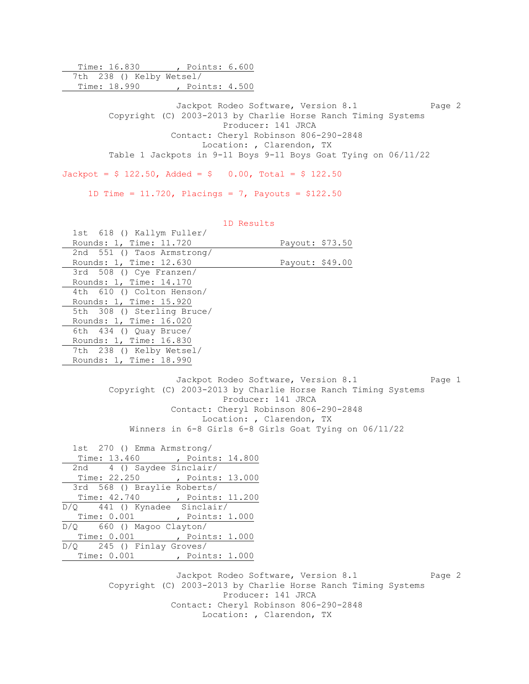Time: 16.830 , Points: 6.600 7th 238 () Kelby Wetsel/ Time: 18.990 , Points: 4.500 Jackpot Rodeo Software, Version 8.1 Page 2 Copyright (C) 2003-2013 by Charlie Horse Ranch Timing Systems Producer: 141 JRCA Contact: Cheryl Robinson 806-290-2848 Location: , Clarendon, TX Table 1 Jackpots in 9-11 Boys 9-11 Boys Goat Tying on 06/11/22  $Jackpot = $ 122.50$ ,  $Added = $ 0.00$ ,  $Total = $ 122.50$ 

1D Time =  $11.720$ , Placings = 7, Payouts = \$122.50

1D Results

| 1st 618 () Kallym Fuller/  |                 |
|----------------------------|-----------------|
| Rounds: 1, Time: 11.720    | Payout: \$73.50 |
| 2nd 551 () Taos Armstrong/ |                 |
| Rounds: 1, Time: 12.630    | Payout: \$49.00 |
| 3rd 508 () Cye Franzen/    |                 |
| Rounds: 1, Time: 14.170    |                 |
| 4th 610 () Colton Henson/  |                 |
| Rounds: 1, Time: 15.920    |                 |
| 5th 308 () Sterling Bruce/ |                 |
| Rounds: 1, Time: 16.020    |                 |
| 6th $434$ () Quay Bruce/   |                 |
| Rounds: 1, Time: 16.830    |                 |
| 7th 238 () Kelby Wetsel/   |                 |
| Rounds: 1, Time: 18.990    |                 |
|                            |                 |

Jackpot Rodeo Software, Version 8.1 Page 1 Copyright (C) 2003-2013 by Charlie Horse Ranch Timing Systems Producer: 141 JRCA Contact: Cheryl Robinson 806-290-2848 Location: , Clarendon, TX Winners in 6-8 Girls 6-8 Girls Goat Tying on 06/11/22

 1st 270 () Emma Armstrong/ Time: 13.460 , Points: 14.800 2nd 4 () Saydee Sinclair/ Time: 22.250 , Points: 13.000 3rd 568 () Braylie Roberts/ Time: 42.740 , Points: 11.200 D/Q 441 () Kynadee Sinclair/ Time: 0.001 , Points: 1.000 D/Q 660 () Magoo Clayton/ Time: 0.001 , Points: 1.000 D/Q 245 () Finlay Groves/ Time: 0.001 , Points: 1.000

> Jackpot Rodeo Software, Version 8.1 Page 2 Copyright (C) 2003-2013 by Charlie Horse Ranch Timing Systems Producer: 141 JRCA Contact: Cheryl Robinson 806-290-2848 Location: , Clarendon, TX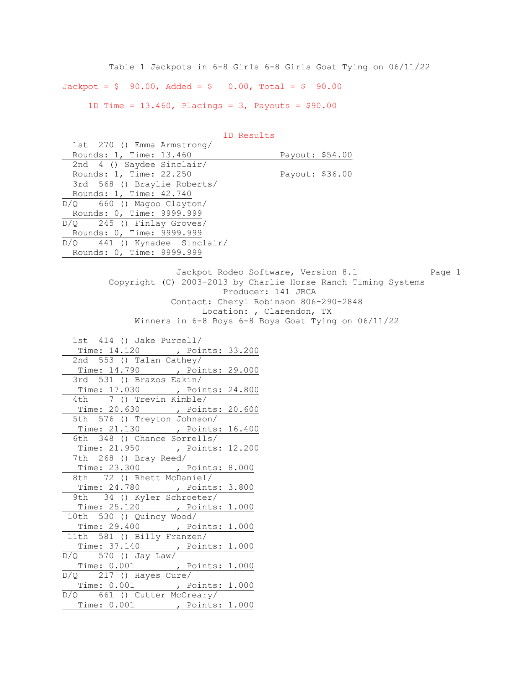Table 1 Jackpots in 6-8 Girls 6-8 Girls Goat Tying on 06/11/22  $Jackpot = $ 90.00, \text{ Added} = $ 0.00, \text{ Total} = $ 90.00$ 1D Time =  $13.460$ , Placings =  $3$ , Payouts =  $$90.00$ 

| 1st 270 () Emma Armstrong/                                    |                                     |        |
|---------------------------------------------------------------|-------------------------------------|--------|
| Rounds: 1, Time: 13.460                                       | Payout: \$54.00                     |        |
| 2nd 4 () Saydee Sinclair/                                     |                                     |        |
| Rounds: 1, Time: 22.250                                       | Payout: \$36.00                     |        |
| 3rd 568 () Braylie Roberts/                                   |                                     |        |
| Rounds: 1, Time: 42.740                                       |                                     |        |
| 660 () Magoo Clayton/<br>D/O                                  |                                     |        |
| Rounds: 0, Time: 9999.999                                     |                                     |        |
| $D/Q$ 245 () Finlay Groves/                                   |                                     |        |
| Rounds: 0, Time: 9999.999                                     |                                     |        |
| D/Q 441 () Kynadee Sinclair/                                  |                                     |        |
| Rounds: 0, Time: 9999.999                                     |                                     |        |
|                                                               |                                     |        |
|                                                               | Jackpot Rodeo Software, Version 8.1 | Page 1 |
| Copyright (C) 2003-2013 by Charlie Horse Ranch Timing Systems |                                     |        |
|                                                               | Producer: 141 JRCA                  |        |
| Contact: Cheryl Robinson 806-290-2848                         |                                     |        |
| Location: , Clarendon, TX                                     |                                     |        |
| Winners in 6-8 Boys 6-8 Boys Goat Tying on 06/11/22           |                                     |        |
|                                                               |                                     |        |
| 1st 414 () Jake Purcell/                                      |                                     |        |
| Time: 14.120 , Points: 33.200                                 |                                     |        |
| 2nd 553 () Talan Cathey/                                      |                                     |        |
| Time: 14.790 , Points: 29.000                                 |                                     |        |
| 3rd 531 () Brazos Eakin/                                      |                                     |        |
| Time: 17.030 , Points: 24.800<br>4th 7 () Trevin Kimble/      |                                     |        |
|                                                               |                                     |        |
| Time: 20.630 , Points: 20.600<br>5th 576 () Treyton Johnson/  |                                     |        |
| Time: 21.130 , Points: 16.400                                 |                                     |        |
| 6th 348 () Chance Sorrells/                                   |                                     |        |
| Time: 21.950 , Points: 12.200                                 |                                     |        |
| 7th 268 () Bray Reed/                                         |                                     |        |
| Time: 23.300 , Points: 8.000                                  |                                     |        |
| 72 () Rhett McDaniel/<br>8th                                  |                                     |        |
| Time: 24.780 , Points: 3.800                                  |                                     |        |
| 34 () Kyler Schroeter/<br>9th                                 |                                     |        |
| Time: 25.120 , Points: 1.000                                  |                                     |        |
| 10th 530 () Quincy Wood/                                      |                                     |        |
| Time: 29.400 , Points: 1.000                                  |                                     |        |
| 11th 581 () Billy Franzen/                                    |                                     |        |
| Time: 37.140 , Points: 1.000                                  |                                     |        |
| 570 () Jay Law/<br>D/Q                                        |                                     |        |
| Time: 0.001 , Points: 1.000                                   |                                     |        |
| D/Q<br>217 () Hayes Cure/                                     |                                     |        |
| Time: 0.001, Points: 1.000                                    |                                     |        |
| D/Q 661 () Cutter McCreary/                                   |                                     |        |
| Time: 0.001, Points: 1.000                                    |                                     |        |
|                                                               |                                     |        |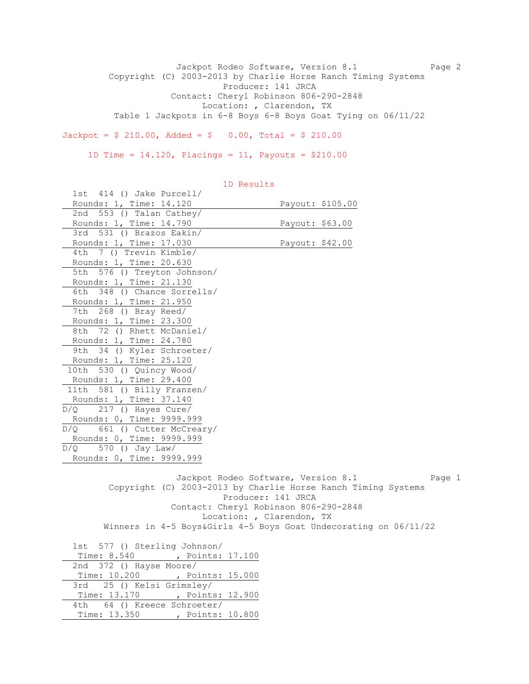Jackpot Rodeo Software, Version 8.1 Page 2 Copyright (C) 2003-2013 by Charlie Horse Ranch Timing Systems Producer: 141 JRCA Contact: Cheryl Robinson 806-290-2848 Location: , Clarendon, TX Table 1 Jackpots in 6-8 Boys 6-8 Boys Goat Tying on 06/11/22

 $Jackpot = $ 210.00, \text{ Added} = $ 0.00, \text{ Total} = $ 210.00$ 

1D Time = 14.120, Placings = 11, Payouts = \$210.00

| 1st 414 () Jake Purcell/       |                                                                  |
|--------------------------------|------------------------------------------------------------------|
| Rounds: 1, Time: 14.120        | Payout: \$105.00                                                 |
| 2nd 553 () Talan Cathey/       |                                                                  |
| Rounds: 1, Time: 14.790        | Payout: \$63.00                                                  |
| 3rd 531 () Brazos Eakin/       |                                                                  |
| Rounds: 1, Time: 17.030        | Payout: \$42.00                                                  |
| 7 () Trevin Kimble/<br>4th     |                                                                  |
| Rounds: 1, Time: 20.630        |                                                                  |
| 5th 576 () Treyton Johnson/    |                                                                  |
| Rounds: 1, Time: 21.130        |                                                                  |
| 6th 348 () Chance Sorrells/    |                                                                  |
| Rounds: 1, Time: 21.950        |                                                                  |
| 7th 268 () Bray Reed/          |                                                                  |
| Rounds: 1, Time: 23.300        |                                                                  |
| 8th 72 () Rhett McDaniel/      |                                                                  |
| Rounds: 1, Time: 24.780        |                                                                  |
| 9th 34 () Kyler Schroeter/     |                                                                  |
| Rounds: 1, Time: 25.120        |                                                                  |
| 10th 530 () Quincy Wood/       |                                                                  |
| Rounds: 1, Time: 29.400        |                                                                  |
| 11th<br>581 () Billy Franzen/  |                                                                  |
| Rounds: 1, Time: 37.140        |                                                                  |
| 217 () Hayes Cure/<br>D/O      |                                                                  |
| Rounds: 0, Time: 9999.999      |                                                                  |
| D/Q 661 () Cutter McCreary/    |                                                                  |
| Rounds: 0, Time: 9999.999      |                                                                  |
| $D/Q$ 570 () Jay Law/          |                                                                  |
| Rounds: 0, Time: 9999.999      |                                                                  |
|                                |                                                                  |
|                                | Jackpot Rodeo Software, Version 8.1<br>Page 1                    |
|                                | Copyright (C) 2003-2013 by Charlie Horse Ranch Timing Systems    |
|                                | Producer: 141 JRCA                                               |
|                                | Contact: Cheryl Robinson 806-290-2848                            |
|                                | Location: , Clarendon, TX                                        |
|                                | Winners in 4-5 Boys&Girls 4-5 Boys Goat Undecorating on 06/11/22 |
|                                |                                                                  |
| 1st 577 () Sterling Johnson/   |                                                                  |
| Time: 8.540 , Points: 17.100   |                                                                  |
| 2nd 372 () Hayse Moore/        |                                                                  |
| Time: 10.200 , Points: 15.000  |                                                                  |
| 25 () Kelsi Grimsley/<br>3rd - |                                                                  |
| Time: 13.170 , Points: 12.900  |                                                                  |
| 64 () Kreece Schroeter/<br>4th |                                                                  |
| Time: 13.350 , Points: 10.800  |                                                                  |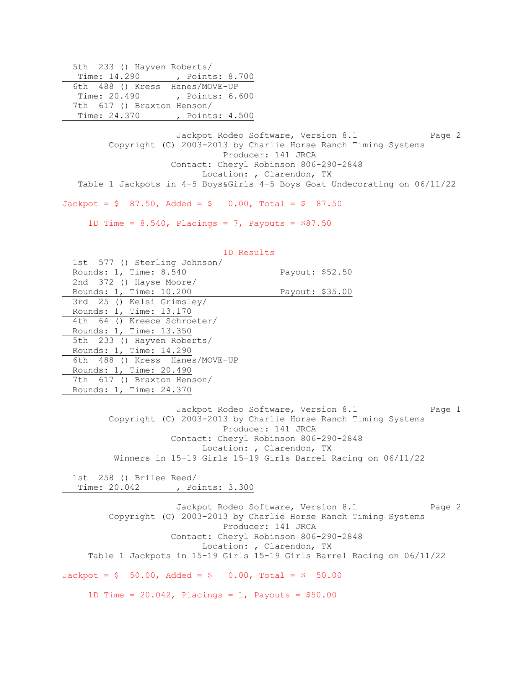|              | 5th 233 () Hayven Roberts/ |                                |  |
|--------------|----------------------------|--------------------------------|--|
| Time: 14.290 |                            | , Points: 8.700                |  |
|              |                            | 6th 488 () Kress Hanes/MOVE-UP |  |
| Time: 20.490 |                            | , Points: 6.600                |  |
|              | 7th 617 () Braxton Henson/ |                                |  |
| Time: 24.370 |                            | , Points: 4.500                |  |

Jackpot Rodeo Software, Version 8.1 Page 2 Copyright (C) 2003-2013 by Charlie Horse Ranch Timing Systems Producer: 141 JRCA Contact: Cheryl Robinson 806-290-2848 Location: , Clarendon, TX Table 1 Jackpots in 4-5 Boys&Girls 4-5 Boys Goat Undecorating on 06/11/22

 $Jackpot = $ 87.50$ ,  $Added = $ 0.00$ ,  $Total = $ 87.50$ 

1D Time =  $8.540$ , Placings =  $7$ , Payouts =  $$87.50$ 

| 1D Results                     |                                     |        |
|--------------------------------|-------------------------------------|--------|
| 1st 577 () Sterling Johnson/   |                                     |        |
| Rounds: 1, Time: 8.540         | Payout: \$52.50                     |        |
| 2nd 372 () Hayse Moore/        |                                     |        |
| Rounds: 1, Time: 10.200        | Payout: \$35.00                     |        |
| 3rd 25 () Kelsi Grimsley/      |                                     |        |
| Rounds: 1, Time: 13.170        |                                     |        |
| 4th 64 () Kreece Schroeter/    |                                     |        |
| Rounds: 1, Time: 13.350        |                                     |        |
| 5th 233 () Hayven Roberts/     |                                     |        |
| Rounds: 1, Time: 14.290        |                                     |        |
| 6th 488 () Kress Hanes/MOVE-UP |                                     |        |
| Rounds: 1, Time: 20.490        |                                     |        |
| 7th 617 () Braxton Henson/     |                                     |        |
| Rounds: 1, Time: 24.370        |                                     |        |
|                                |                                     |        |
|                                | Jackpot Rodeo Software, Version 8.1 | Page 1 |

 Copyright (C) 2003-2013 by Charlie Horse Ranch Timing Systems Producer: 141 JRCA Contact: Cheryl Robinson 806-290-2848 Location: , Clarendon, TX Winners in 15-19 Girls 15-19 Girls Barrel Racing on 06/11/22

 1st 258 () Brilee Reed/ Time: 20.042 , Points: 3.300

Jackpot Rodeo Software, Version 8.1 Page 2 Copyright (C) 2003-2013 by Charlie Horse Ranch Timing Systems Producer: 141 JRCA Contact: Cheryl Robinson 806-290-2848 Location: , Clarendon, TX Table 1 Jackpots in 15-19 Girls 15-19 Girls Barrel Racing on 06/11/22  $Jackpot = $ 50.00, \text{ Added} = $ 0.00, \text{ Total} = $ 50.00$ 1D Time =  $20.042$ , Placings = 1, Payouts =  $$50.00$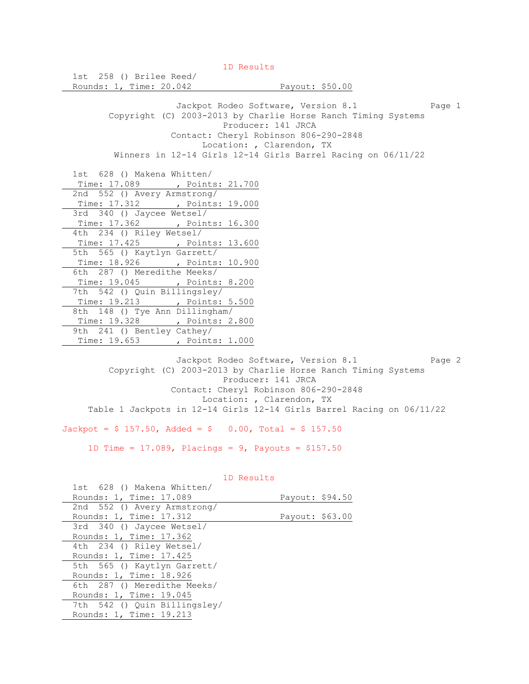1D Results 1st 258 () Brilee Reed/ Rounds: 1, Time: 20.042 Payout: \$50.00 Jackpot Rodeo Software, Version 8.1 Page 1 Copyright (C) 2003-2013 by Charlie Horse Ranch Timing Systems Producer: 141 JRCA Contact: Cheryl Robinson 806-290-2848 Location: , Clarendon, TX Winners in 12-14 Girls 12-14 Girls Barrel Racing on 06/11/22 1st 628 () Makena Whitten/ Time: 17.089 , Points: 21.700 2nd 552 () Avery Armstrong/ Time: 17.312 , Points: 19.000 3rd 340 () Jaycee Wetsel/ Time: 17.362 , Points: 16.300 4th 234 () Riley Wetsel/ Time: 17.425 , Points: 13.600 5th 565 () Kaytlyn Garrett/ Time: 18.926 , Points: 10.900 6th 287 () Meredithe Meeks/ Time: 19.045 , Points: 8.200 7th 542 () Quin Billingsley/ Time: 19.213 , Points: 5.500 8th 148 () Tye Ann Dillingham/ Time: 19.328 , Points: 2.800 9th 241 () Bentley Cathey/ Time: 19.653 , Points: 1.000

Jackpot Rodeo Software, Version 8.1 Page 2 Copyright (C) 2003-2013 by Charlie Horse Ranch Timing Systems Producer: 141 JRCA Contact: Cheryl Robinson 806-290-2848 Location: , Clarendon, TX Table 1 Jackpots in 12-14 Girls 12-14 Girls Barrel Racing on 06/11/22

 $Jackpot = $ 157.50$ ,  $Added = $ 0.00$ ,  $Total = $ 157.50$ 

1D Time = 17.089, Placings = 9, Payouts = \$157.50

| 1st 628 () Makena Whitten/   |                 |  |
|------------------------------|-----------------|--|
| Rounds: 1, Time: 17.089      | Payout: \$94.50 |  |
| 2nd 552 () Avery Armstrong/  |                 |  |
| Rounds: 1, Time: 17.312      | Payout: \$63.00 |  |
| 3rd 340 () Jaycee Wetsel/    |                 |  |
| Rounds: 1, Time: 17.362      |                 |  |
| 4th 234 () Riley Wetsel/     |                 |  |
| Rounds: 1, Time: 17.425      |                 |  |
| 5th 565 () Kaytlyn Garrett/  |                 |  |
| Rounds: 1, Time: 18.926      |                 |  |
| 6th 287 () Meredithe Meeks/  |                 |  |
| Rounds: 1, Time: 19.045      |                 |  |
| 7th 542 () Quin Billingsley/ |                 |  |
| Rounds: 1, Time: 19.213      |                 |  |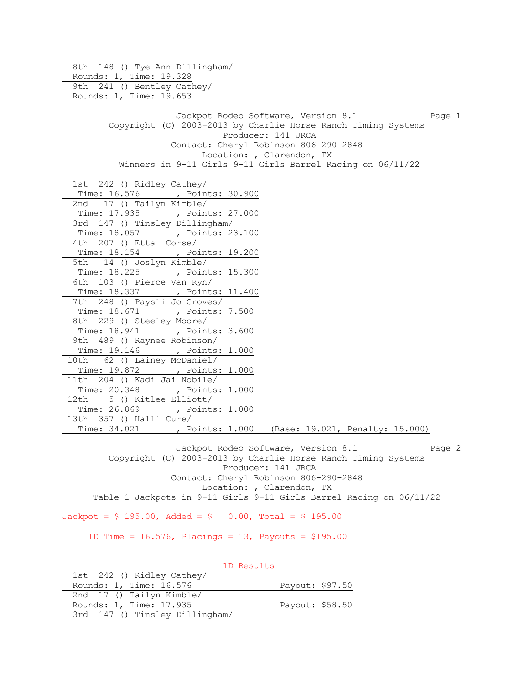8th 148 () Tye Ann Dillingham/ Rounds: 1, Time: 19.328 9th 241 () Bentley Cathey/ Rounds: 1, Time: 19.653 Jackpot Rodeo Software, Version 8.1 Page 1 Copyright (C) 2003-2013 by Charlie Horse Ranch Timing Systems Producer: 141 JRCA Contact: Cheryl Robinson 806-290-2848 Location: , Clarendon, TX Winners in 9-11 Girls 9-11 Girls Barrel Racing on 06/11/22 1st 242 () Ridley Cathey/ Time: 16.576 , Points: 30.900 2nd 17 () Tailyn Kimble/ Time: 17.935 , Points: 27.000 3rd 147 () Tinsley Dillingham/ Time: 18.057 , Points: 23.100 4th 207 () Etta Corse/ Time: 18.154 , Points: 19.200 5th 14 () Joslyn Kimble/ Time: 18.225 , Points: 15.300 6th 103 () Pierce Van Ryn/ Time: 18.337 , Points: 11.400 7th 248 () Paysli Jo Groves/ Time: 18.671 , Points: 7.500 8th 229 () Steeley Moore/ Time: 18.941 , Points: 3.600 9th 489 () Raynee Robinson/ Time: 19.146 , Points: 1.000 10th 62 () Lainey McDaniel/ Time: 19.872 , Points: 1.000 11th 204 () Kadi Jai Nobile/ Time: 20.348 , Points: 1.000 12th 5 () Kitlee Elliott/ Time: 26.869 , Points: 1.000 13th 357 () Halli Cure/ Time: 34.021 , Points: 1.000 (Base: 19.021, Penalty: 15.000)

Jackpot Rodeo Software, Version 8.1 Page 2 Copyright (C) 2003-2013 by Charlie Horse Ranch Timing Systems Producer: 141 JRCA Contact: Cheryl Robinson 806-290-2848 Location: , Clarendon, TX Table 1 Jackpots in 9-11 Girls 9-11 Girls Barrel Racing on 06/11/22

 $Jackpot = $ 195.00, \text{ Added} = $ 0.00, \text{ Total} = $ 195.00$ 

1D Time = 16.576, Placings = 13, Payouts = \$195.00

 1D Results 1st 242 () Ridley Cathey/ Rounds: 1, Time: 16.576 Payout: \$97.50 2nd 17 () Tailyn Kimble/ Rounds: 1, Time: 17.935 Payout: \$58.50 3rd 147 () Tinsley Dillingham/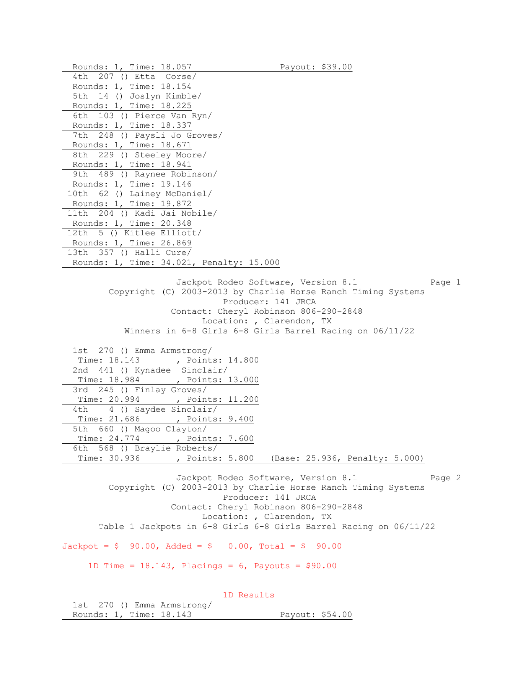Rounds: 1, Time: 18.057 Payout: \$39.00 4th 207 () Etta Corse/ Rounds: 1, Time: 18.154 5th 14 () Joslyn Kimble/ Rounds: 1, Time: 18.225 6th 103 () Pierce Van Ryn/ Rounds: 1, Time: 18.337 7th 248 () Paysli Jo Groves/ Rounds: 1, Time: 18.671 8th 229 () Steeley Moore/ Rounds: 1, Time: 18.941 9th 489 () Raynee Robinson/ Rounds: 1, Time: 19.146 10th 62 () Lainey McDaniel/ Rounds: 1, Time: 19.872 11th 204 () Kadi Jai Nobile/ Rounds: 1, Time: 20.348 12th 5 () Kitlee Elliott/ Rounds: 1, Time: 26.869 13th 357 () Halli Cure/ Rounds: 1, Time: 34.021, Penalty: 15.000 Jackpot Rodeo Software, Version 8.1 Page 1 Copyright (C) 2003-2013 by Charlie Horse Ranch Timing Systems Producer: 141 JRCA Contact: Cheryl Robinson 806-290-2848 Location: , Clarendon, TX Winners in 6-8 Girls 6-8 Girls Barrel Racing on 06/11/22 1st 270 () Emma Armstrong/ Time: 18.143 , Points: 14.800 2nd 441 () Kynadee Sinclair/ Time: 18.984 , Points: 13.000 3rd 245 () Finlay Groves/ Time: 20.994 , Points: 11.200 4th 4 () Saydee Sinclair/ Time: 21.686 , Points: 9.400 5th 660 () Magoo Clayton/ Time: 24.774 , Points: 7.600 6th 568 () Braylie Roberts/ Time: 30.936 , Points: 5.800 (Base: 25.936, Penalty: 5.000) Jackpot Rodeo Software, Version 8.1 Page 2 Copyright (C) 2003-2013 by Charlie Horse Ranch Timing Systems Producer: 141 JRCA Contact: Cheryl Robinson 806-290-2848 Location: , Clarendon, TX Table 1 Jackpots in 6-8 Girls 6-8 Girls Barrel Racing on 06/11/22  $Jackpot = $ 90.00, \text{ Added} = $ 0.00, \text{ Total} = $ 90.00$ 1D Time =  $18.143$ , Placings =  $6$ , Payouts =  $$90.00$ 1D Results

| 1st 270 () Emma Armstrong/ |  |                 |  |
|----------------------------|--|-----------------|--|
| Rounds: 1, Time: 18.143    |  | Payout: \$54.00 |  |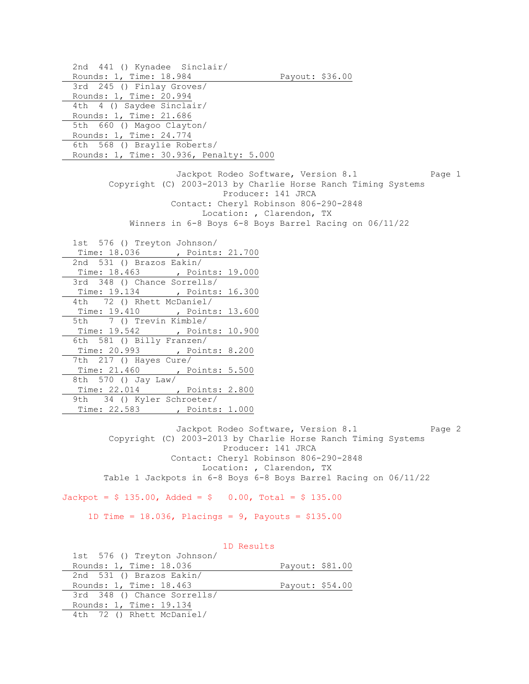2nd 441 () Kynadee Sinclair/ Rounds: 1, Time: 18.984 Payout: \$36.00 3rd 245 () Finlay Groves/ Rounds: 1, Time: 20.994 4th 4 () Saydee Sinclair/ Rounds: 1, Time: 21.686 5th 660 () Magoo Clayton/ Rounds: 1, Time: 24.774 6th 568 () Braylie Roberts/ Rounds: 1, Time: 30.936, Penalty: 5.000 Jackpot Rodeo Software, Version 8.1 Page 1 Copyright (C) 2003-2013 by Charlie Horse Ranch Timing Systems Producer: 141 JRCA Contact: Cheryl Robinson 806-290-2848 Location: , Clarendon, TX Winners in 6-8 Boys 6-8 Boys Barrel Racing on 06/11/22 1st 576 () Treyton Johnson/ Time: 18.036 , Points: 21.700 2nd 531 () Brazos Eakin/ Time: 18.463 , Points: 19.000 3rd 348 () Chance Sorrells/ Time: 19.134 , Points: 16.300 4th 72 () Rhett McDaniel/ Time: 19.410 , Points: 13.600 5th 7 () Trevin Kimble/ Time: 19.542 , Points: 10.900 6th 581 () Billy Franzen/ Time: 20.993 , Points: 8.200 7th 217 () Hayes Cure/ Time: 21.460 , Points: 5.500 8th 570 () Jay Law/ Time: 22.014 , Points: 2.800 9th 34 () Kyler Schroeter/ Time: 22.583 , Points: 1.000 Jackpot Rodeo Software, Version 8.1 Page 2 Copyright (C) 2003-2013 by Charlie Horse Ranch Timing Systems Producer: 141 JRCA Contact: Cheryl Robinson 806-290-2848 Location: , Clarendon, TX Table 1 Jackpots in 6-8 Boys 6-8 Boys Barrel Racing on 06/11/22  $Jackpot = $ 135.00$ ,  $Added = $ 0.00$ ,  $Total = $ 135.00$ 

1D Time = 18.036, Placings = 9, Payouts = \$135.00

 1D Results 1st 576 () Treyton Johnson/ Rounds: 1, Time: 18.036 Payout: \$81.00 2nd 531 () Brazos Eakin/ Rounds: 1, Time: 18.463 Payout: \$54.00 3rd 348 () Chance Sorrells/ Rounds: 1, Time: 19.134 4th 72 () Rhett McDaniel/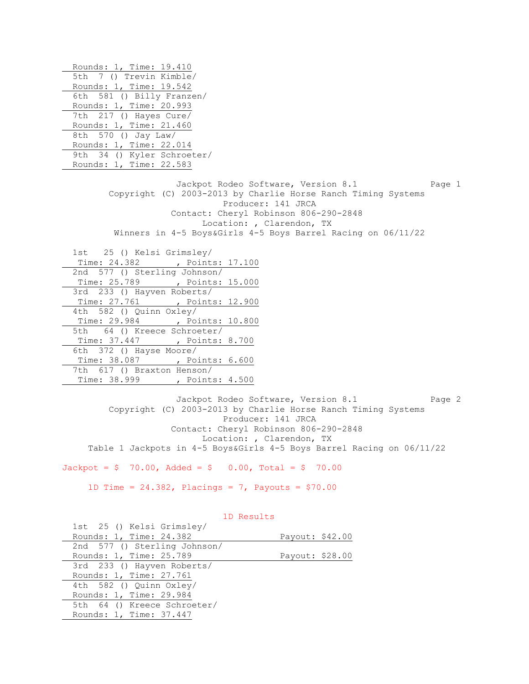Rounds: 1, Time: 19.410 5th 7 () Trevin Kimble/ Rounds: 1, Time: 19.542 6th 581 () Billy Franzen/ Rounds: 1, Time: 20.993 7th 217 () Hayes Cure/ Rounds: 1, Time: 21.460 8th 570 () Jay Law/ Rounds: 1, Time: 22.014 9th 34 () Kyler Schroeter/ Rounds: 1, Time: 22.583 Jackpot Rodeo Software, Version 8.1 Page 1 Copyright (C) 2003-2013 by Charlie Horse Ranch Timing Systems Producer: 141 JRCA Contact: Cheryl Robinson 806-290-2848 Location: , Clarendon, TX Winners in 4-5 Boys&Girls 4-5 Boys Barrel Racing on 06/11/22 1st 25 () Kelsi Grimsley/ Time: 24.382 , Points: 17.100 2nd 577 () Sterling Johnson/ Time: 25.789 , Points: 15.000 3rd 233 () Hayven Roberts/ Time: 27.761 , Points: 12.900 4th 582 () Quinn Oxley/ Time: 29.984 , Points: 10.800 5th 64 () Kreece Schroeter/ Time: 37.447 , Points: 8.700 6th 372 () Hayse Moore/ Time: 38.087 , Points: 6.600 7th 617 () Braxton Henson/ Time: 38.999 , Points: 4.500

Jackpot Rodeo Software, Version 8.1 Page 2 Copyright (C) 2003-2013 by Charlie Horse Ranch Timing Systems Producer: 141 JRCA Contact: Cheryl Robinson 806-290-2848 Location: , Clarendon, TX Table 1 Jackpots in 4-5 Boys&Girls 4-5 Boys Barrel Racing on 06/11/22

 $Jackpot = $ 70.00, \text{ Added} = $ 0.00, \text{ Total} = $ 70.00$ 

1D Time = 24.382, Placings = 7, Payouts = \$70.00

| 1st 25 () Kelsi Grimsley/    |                 |  |
|------------------------------|-----------------|--|
| Rounds: 1, Time: 24.382      | Payout: \$42.00 |  |
| 2nd 577 () Sterling Johnson/ |                 |  |
| Rounds: 1, Time: 25.789      | Payout: \$28.00 |  |
| 3rd 233 () Hayven Roberts/   |                 |  |
| Rounds: 1, Time: 27.761      |                 |  |
| 4th 582 () Quinn Oxley/      |                 |  |
| Rounds: 1, Time: 29.984      |                 |  |
| 5th 64 () Kreece Schroeter/  |                 |  |
| Rounds: 1, Time: 37.447      |                 |  |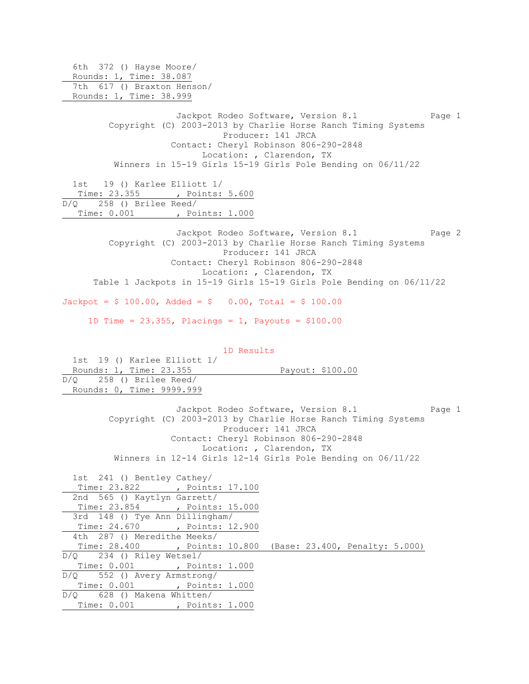6th 372 () Hayse Moore/ Rounds: 1, Time: 38.087 7th 617 () Braxton Henson/ Rounds: 1, Time: 38.999 Jackpot Rodeo Software, Version 8.1 Page 1 Copyright (C) 2003-2013 by Charlie Horse Ranch Timing Systems Producer: 141 JRCA Contact: Cheryl Robinson 806-290-2848 Location: , Clarendon, TX Winners in 15-19 Girls 15-19 Girls Pole Bending on 06/11/22 1st 19 () Karlee Elliott 1/ Time: 23.355 , Points: 5.600 D/Q 258 () Brilee Reed/ Time: 0.001 , Points: 1.000 Jackpot Rodeo Software, Version 8.1 Page 2 Copyright (C) 2003-2013 by Charlie Horse Ranch Timing Systems Producer: 141 JRCA Contact: Cheryl Robinson 806-290-2848 Location: , Clarendon, TX Table 1 Jackpots in 15-19 Girls 15-19 Girls Pole Bending on 06/11/22  $Jackpot = $ 100.00, \text{ Added} = $ 0.00, \text{ Total} = $ 100.00$ 1D Time =  $23.355$ , Placings = 1, Payouts =  $$100.00$ 

 1D Results 1st 19 () Karlee Elliott 1/ Rounds: 1, Time: 23.355 Payout: \$100.00 D/Q 258 () Brilee Reed/ Rounds: 0, Time: 9999.999

> Jackpot Rodeo Software, Version 8.1 Page 1 Copyright (C) 2003-2013 by Charlie Horse Ranch Timing Systems Producer: 141 JRCA Contact: Cheryl Robinson 806-290-2848 Location: , Clarendon, TX Winners in 12-14 Girls 12-14 Girls Pole Bending on 06/11/22

 1st 241 () Bentley Cathey/ Time: 23.822 , Points: 17.100 2nd 565 () Kaytlyn Garrett/ Time: 23.854 , Points: 15.000 3rd 148 () Tye Ann Dillingham/ Time: 24.670 , Points: 12.900 4th 287 () Meredithe Meeks/ Time: 28.400 , Points: 10.800 (Base: 23.400, Penalty: 5.000) D/Q 234 () Riley Wetsel/ Time: 0.001 , Points: 1.000 D/Q 552 () Avery Armstrong/ Time: 0.001 , Points: 1.000 D/Q 628 () Makena Whitten/ Time: 0.001 , Points: 1.000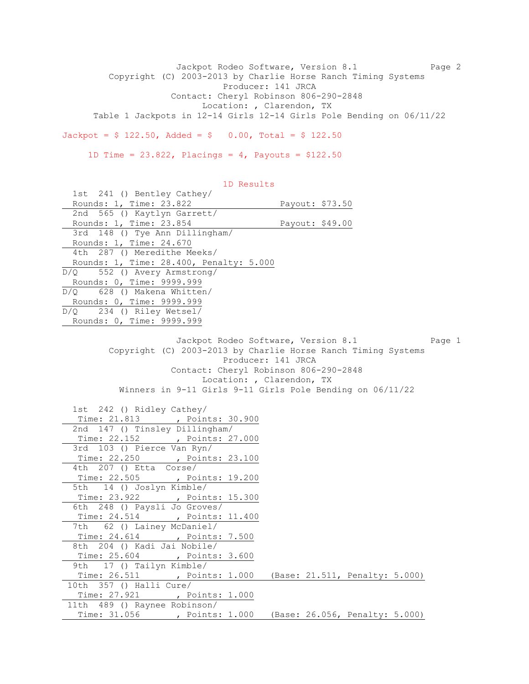Jackpot Rodeo Software, Version 8.1 Page 2 Copyright (C) 2003-2013 by Charlie Horse Ranch Timing Systems Producer: 141 JRCA Contact: Cheryl Robinson 806-290-2848 Location: , Clarendon, TX Table 1 Jackpots in 12-14 Girls 12-14 Girls Pole Bending on 06/11/22  $Jackpot = $ 122.50$ ,  $Added = $ 0.00$ ,  $Total = $ 122.50$ 

1D Time =  $23.822$ , Placings =  $4$ , Payouts =  $$122.50$ 

 1D Results 1st 241 () Bentley Cathey/ Rounds: 1, Time: 23.822 Payout: \$73.50 2nd 565 () Kaytlyn Garrett/ Rounds: 1, Time: 23.854 Payout: \$49.00 3rd 148 () Tye Ann Dillingham/ Rounds: 1, Time: 24.670 4th 287 () Meredithe Meeks/ Rounds: 1, Time: 28.400, Penalty: 5.000 D/Q 552 () Avery Armstrong/ Rounds: 0, Time: 9999.999 D/Q 628 () Makena Whitten/ Rounds: 0, Time: 9999.999 D/Q 234 () Riley Wetsel/ Rounds: 0, Time: 9999.999 Jackpot Rodeo Software, Version 8.1 Page 1 Copyright (C) 2003-2013 by Charlie Horse Ranch Timing Systems Producer: 141 JRCA Contact: Cheryl Robinson 806-290-2848 Location: , Clarendon, TX Winners in 9-11 Girls 9-11 Girls Pole Bending on 06/11/22 1st 242 () Ridley Cathey/ Time: 21.813 , Points: 30.900 2nd 147 () Tinsley Dillingham/ Time: 22.152 , Points: 27.000 3rd 103 () Pierce Van Ryn/ Time: 22.250 , Points: 23.100 4th 207 () Etta Corse/ Time: 22.505 , Points: 19.200 5th 14 () Joslyn Kimble/ Time: 23.922 , Points: 15.300 6th 248 () Paysli Jo Groves/ Time: 24.514 , Points: 11.400 7th 62 () Lainey McDaniel/ Time: 24.614 , Points: 7.500 8th 204 () Kadi Jai Nobile/ Time: 25.604 , Points: 3.600 9th 17 () Tailyn Kimble/ Time: 26.511 , Points: 1.000 (Base: 21.511, Penalty: 5.000) 10th 357 () Halli Cure/ Time: 27.921 , Points: 1.000 11th 489 () Raynee Robinson/ Time: 31.056 , Points: 1.000 (Base: 26.056, Penalty: 5.000)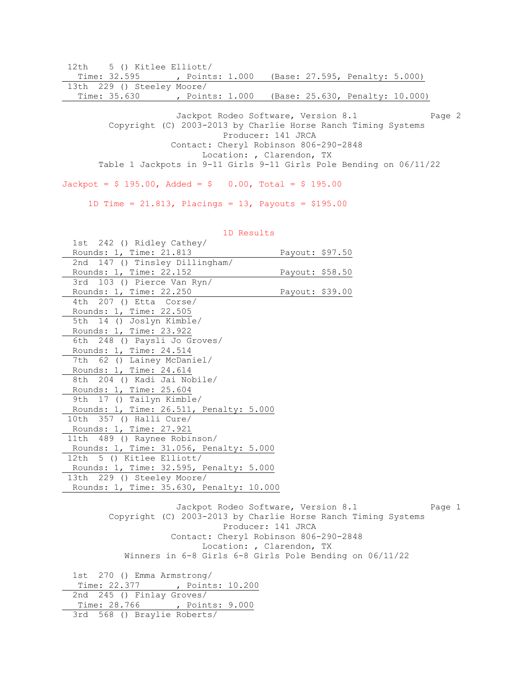12th 5 () Kitlee Elliott/

| Time: 32.595               | , Points: 1.000 |  | (Base: 27.595, Penalty: 5.000)  |  |
|----------------------------|-----------------|--|---------------------------------|--|
| 13th 229 () Steeley Moore/ |                 |  |                                 |  |
| Time: 35.630               | , Points: 1.000 |  | (Base: 25.630, Penalty: 10.000) |  |

Jackpot Rodeo Software, Version 8.1 Page 2 Copyright (C) 2003-2013 by Charlie Horse Ranch Timing Systems Producer: 141 JRCA Contact: Cheryl Robinson 806-290-2848 Location: , Clarendon, TX Table 1 Jackpots in 9-11 Girls 9-11 Girls Pole Bending on 06/11/22

 $Jackpot = $ 195.00, \text{ Added} = $ 0.00, \text{ Total} = $ 195.00$ 

1D Time = 21.813, Placings = 13, Payouts = \$195.00

| 1st 242 () Ridley Cathey/                |                 |  |
|------------------------------------------|-----------------|--|
| Rounds: 1, Time: 21.813                  | Payout: \$97.50 |  |
| 2nd 147 () Tinsley Dillingham/           |                 |  |
| Rounds: 1, Time: 22.152                  | Payout: \$58.50 |  |
| 3rd 103 () Pierce Van Ryn/               |                 |  |
| Rounds: 1, Time: 22.250                  | Payout: \$39.00 |  |
| 4th 207 () Etta Corse/                   |                 |  |
| Rounds: 1, Time: 22.505                  |                 |  |
| 5th 14 () Joslyn Kimble/                 |                 |  |
| Rounds: 1, Time: 23.922                  |                 |  |
| 6th 248 () Paysli Jo Groves/             |                 |  |
| Rounds: 1, Time: 24.514                  |                 |  |
| 7th 62 () Lainey McDaniel/               |                 |  |
| Rounds: 1, Time: 24.614                  |                 |  |
| 8th 204 () Kadi Jai Nobile/              |                 |  |
| Rounds: 1, Time: 25.604                  |                 |  |
| 9th 17 () Tailyn Kimble/                 |                 |  |
| Rounds: 1, Time: 26.511, Penalty: 5.000  |                 |  |
| 10th 357 () Halli Cure/                  |                 |  |
| Rounds: 1, Time: 27.921                  |                 |  |
| 11th 489 () Raynee Robinson/             |                 |  |
| Rounds: 1, Time: 31.056, Penalty: 5.000  |                 |  |
| 12th 5 () Kitlee Elliott/                |                 |  |
| Rounds: 1, Time: 32.595, Penalty: 5.000  |                 |  |
| 13th 229 () Steeley Moore/               |                 |  |
| Rounds: 1, Time: 35.630, Penalty: 10.000 |                 |  |
|                                          |                 |  |

1D Results

Jackpot Rodeo Software, Version 8.1 Page 1 Copyright (C) 2003-2013 by Charlie Horse Ranch Timing Systems Producer: 141 JRCA Contact: Cheryl Robinson 806-290-2848 Location: , Clarendon, TX Winners in 6-8 Girls 6-8 Girls Pole Bending on 06/11/22

 1st 270 () Emma Armstrong/ Time: 22.377 , Points: 10.200 2nd 245 () Finlay Groves/ Time: 28.766 , Points: 9.000 3rd 568 () Braylie Roberts/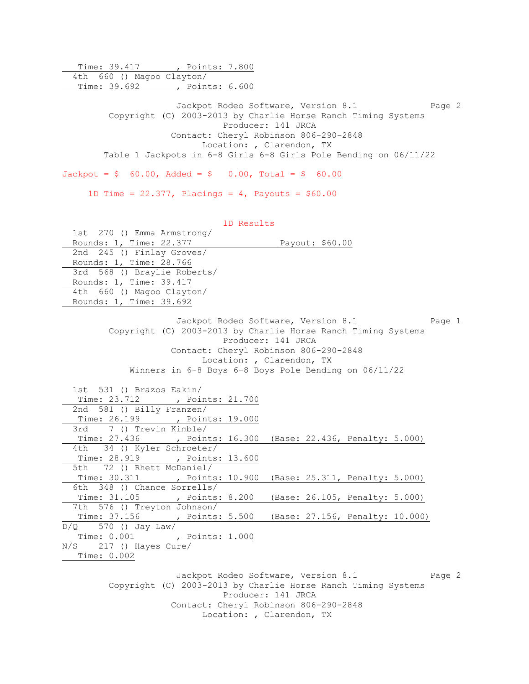Time: 39.417 , Points: 7.800 4th 660 () Magoo Clayton/ Time: 39.692 , Points: 6.600 Jackpot Rodeo Software, Version 8.1 Page 2 Copyright (C) 2003-2013 by Charlie Horse Ranch Timing Systems Producer: 141 JRCA Contact: Cheryl Robinson 806-290-2848 Location: , Clarendon, TX Table 1 Jackpots in 6-8 Girls 6-8 Girls Pole Bending on 06/11/22  $Jackpot = $ 60.00, \text{ Added} = $ 0.00, \text{ Total} = $ 60.00$ 1D Time =  $22.377$ , Placings = 4, Payouts =  $$60.00$  1D Results 1st 270 () Emma Armstrong/ Rounds: 1, Time: 22.377 Payout: \$60.00 2nd 245 () Finlay Groves/ Rounds: 1, Time: 28.766 3rd 568 () Braylie Roberts/ Rounds: 1, Time: 39.417 4th 660 () Magoo Clayton/ Rounds: 1, Time: 39.692 Jackpot Rodeo Software, Version 8.1 Page 1 Copyright (C) 2003-2013 by Charlie Horse Ranch Timing Systems Producer: 141 JRCA Contact: Cheryl Robinson 806-290-2848 Location: , Clarendon, TX Winners in 6-8 Boys 6-8 Boys Pole Bending on 06/11/22 1st 531 () Brazos Eakin/ Time: 23.712 , Points: 21.700 2nd 581 () Billy Franzen/ Time: 26.199 , Points: 19.000 3rd 7 () Trevin Kimble/ Time: 27.436 , Points: 16.300 (Base: 22.436, Penalty: 5.000) 4th 34 () Kyler Schroeter/ Time: 28.919 , Points: 13.600 5th 72 () Rhett McDaniel/ Time: 30.311 , Points: 10.900 (Base: 25.311, Penalty: 5.000) 6th 348 () Chance Sorrells/ Time: 31.105 , Points: 8.200 (Base: 26.105, Penalty: 5.000) 7th 576 () Treyton Johnson/ Time: 37.156 , Points: 5.500 (Base: 27.156, Penalty: 10.000)  $D/Q$  570 () Jay Law/ Time: 0.001 , Points: 1.000 N/S 217 () Hayes Cure/ Time: 0.002 Jackpot Rodeo Software, Version 8.1 Page 2 Copyright (C) 2003-2013 by Charlie Horse Ranch Timing Systems Producer: 141 JRCA Contact: Cheryl Robinson 806-290-2848 Location: , Clarendon, TX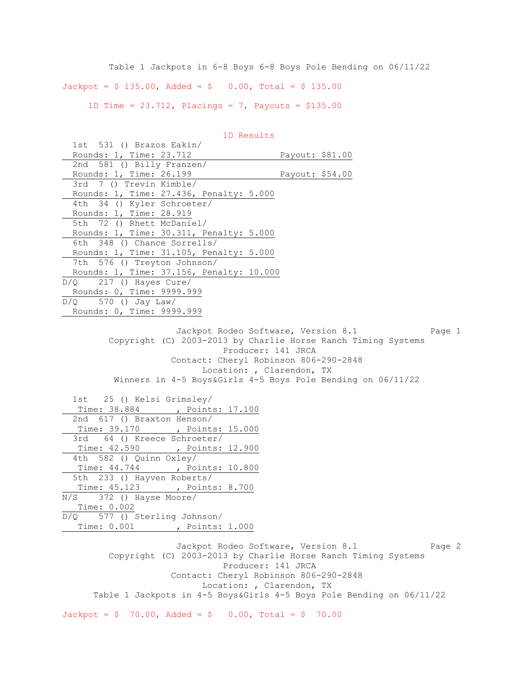Table 1 Jackpots in 6-8 Boys 6-8 Boys Pole Bending on 06/11/22  $Jackpot = $ 135.00$ ,  $Added = $ 0.00$ ,  $Total = $ 135.00$ 1D Time = 23.712, Placings = 7, Payouts = \$135.00

1D Results

| 1st 531 () Brazos Eakin/                                                            |                                               |
|-------------------------------------------------------------------------------------|-----------------------------------------------|
| Rounds: 1, Time: 23.712                                                             | Payout: \$81.00                               |
| 2nd 581 () Billy Franzen/                                                           |                                               |
| Rounds: 1, Time: 26.199                                                             | Payout: \$54.00                               |
| 3rd 7 () Trevin Kimble/                                                             |                                               |
| Rounds: 1, Time: 27.436, Penalty: 5.000                                             |                                               |
| 4th 34 () Kyler Schroeter/                                                          |                                               |
| Rounds: 1, Time: 28.919                                                             |                                               |
| 5th 72 () Rhett McDaniel/                                                           |                                               |
| Rounds: 1, Time: 30.311, Penalty: 5.000                                             |                                               |
| 6th 348 () Chance Sorrells/                                                         |                                               |
| Rounds: 1, Time: 31.105, Penalty: 5.000                                             |                                               |
| 7th 576 () Treyton Johnson/                                                         |                                               |
| Rounds: 1, Time: 37.156, Penalty: 10.000                                            |                                               |
| $D/Q$ 217 () Hayes Cure/                                                            |                                               |
| Rounds: 0, Time: 9999.999                                                           |                                               |
| $D/Q$ 570 () Jay Law/                                                               |                                               |
| Rounds: 0, Time: 9999.999                                                           |                                               |
|                                                                                     |                                               |
|                                                                                     | Jackpot Rodeo Software, Version 8.1<br>Page 1 |
| Copyright (C) 2003-2013 by Charlie Horse Ranch Timing Systems                       |                                               |
| Producer: 141 JRCA                                                                  |                                               |
| Contact: Cheryl Robinson 806-290-2848                                               |                                               |
| Location: , Clarendon, TX                                                           |                                               |
| Winners in 4-5 Boys&Girls 4-5 Boys Pole Bending on 06/11/22                         |                                               |
|                                                                                     |                                               |
| 1st 25 () Kelsi Grimsley/                                                           |                                               |
| Time: 38.884 , Points: 17.100                                                       |                                               |
| 2nd 617 () Braxton Henson/                                                          |                                               |
| Time: 39.170 , Points: 15.000                                                       |                                               |
| 3rd 64 () Kreece Schroeter/                                                         |                                               |
| Time: 42.590 , Points: 12.900                                                       |                                               |
| 4th 582 () Quinn Oxley/                                                             |                                               |
| Time: 44.744 , Points: 10.800                                                       |                                               |
|                                                                                     |                                               |
| 5th 233 () Hayven Roberts/                                                          |                                               |
| Time: 45.123 , Points: 8.700                                                        |                                               |
| N/S 372 () Hayse Moore/<br>Time: 0.002                                              |                                               |
| D/Q 577 () Sterling Johnson/                                                        |                                               |
| Time: 0.001 , Points: 1.000                                                         |                                               |
|                                                                                     |                                               |
| Jackpot Rodeo Software, Version 8.1                                                 | Page 2                                        |
| Copyright (C) 2003-2013 by Charlie Horse Ranch Timing Systems<br>Producer: 141 JRCA |                                               |
|                                                                                     |                                               |
| Contact: Cheryl Robinson 806-290-2848<br>Location: , Clarendon, TX                  |                                               |

 $Jackpot = $ 70.00, \text{ Added} = $ 0.00, \text{ Total} = $ 70.00$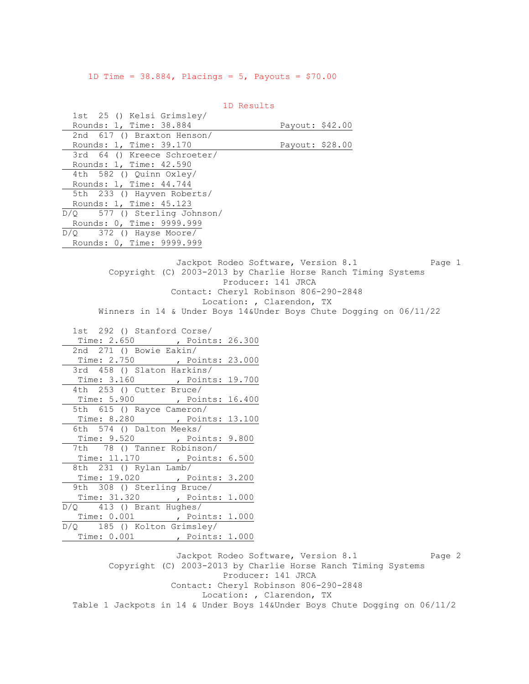1D Time =  $38.884$ , Placings =  $5$ , Payouts =  $$70.00$ 

 1D Results 1st 25 () Kelsi Grimsley/ Rounds: 1, Time: 38.884 Payout: \$42.00 2nd 617 () Braxton Henson/ Rounds: 1, Time: 39.170 Payout: \$28.00 3rd 64 () Kreece Schroeter/ Rounds: 1, Time: 42.590 4th 582 () Quinn Oxley/ Rounds: 1, Time: 44.744 5th 233 () Hayven Roberts/ Rounds: 1, Time: 45.123 D/Q 577 () Sterling Johnson/ Rounds: 0, Time: 9999.999 D/Q 372 () Hayse Moore/ Rounds: 0, Time: 9999.999 Jackpot Rodeo Software, Version 8.1 Page 1 Copyright (C) 2003-2013 by Charlie Horse Ranch Timing Systems Producer: 141 JRCA Contact: Cheryl Robinson 806-290-2848 Location: , Clarendon, TX Winners in 14 & Under Boys 14&Under Boys Chute Dogging on 06/11/22 1st 292 () Stanford Corse/ Time: 2.650 , Points: 26.300 2nd 271 () Bowie Eakin/ Time: 2.750 , Points: 23.000 3rd 458 () Slaton Harkins/ Time: 3.160 , Points: 19.700 4th 253 () Cutter Bruce/ Time: 5.900 , Points: 16.400 5th 615 () Rayce Cameron/ Time: 8.280 , Points: 13.100 6th 574 () Dalton Meeks/ Time: 9.520 , Points: 9.800 7th 78 () Tanner Robinson/ Time: 11.170 , Points: 6.500 8th 231 () Rylan Lamb/ Time: 19.020 , Points: 3.200 9th 308 () Sterling Bruce/ Time: 31.320 , Points: 1.000 D/Q 413 () Brant Hughes/ Time: 0.001 , Points: 1.000 D/Q 185 () Kolton Grimsley/ Time: 0.001 , Points: 1.000 Jackpot Rodeo Software, Version 8.1 Page 2 Copyright (C) 2003-2013 by Charlie Horse Ranch Timing Systems

Producer: 141 JRCA

Contact: Cheryl Robinson 806-290-2848

Location: , Clarendon, TX

Table 1 Jackpots in 14 & Under Boys 14&Under Boys Chute Dogging on 06/11/2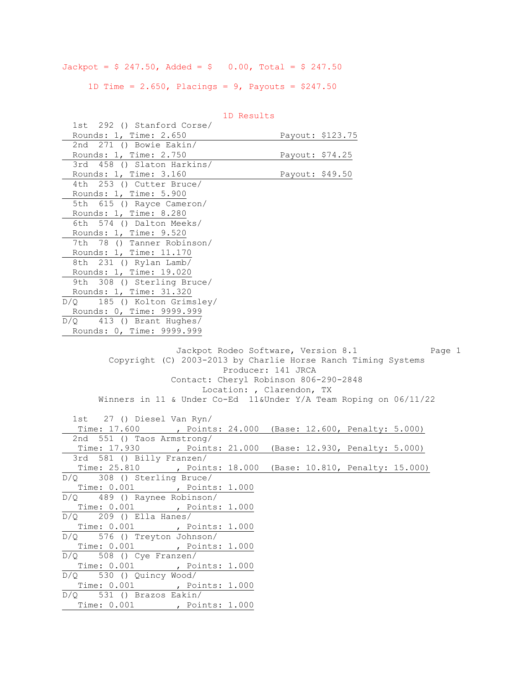Jackpot =  $$ 247.50$ , Added =  $$ 0.00$ , Total =  $$ 247.50$ 

1D Time =  $2.650$ , Placings =  $9$ , Payouts =  $$247.50$ 

| TD VESUILS                                         |                                                                                                                                                              |
|----------------------------------------------------|--------------------------------------------------------------------------------------------------------------------------------------------------------------|
| 1st 292 () Stanford Corse/                         |                                                                                                                                                              |
| Rounds: 1, Time: 2.650<br>2nd 271 () Bowie Eakin/  | Payout: \$123.75                                                                                                                                             |
| Rounds: 1, Time: 2.750                             | Payout: \$74.25                                                                                                                                              |
| 3rd 458 () Slaton Harkins/                         |                                                                                                                                                              |
|                                                    |                                                                                                                                                              |
| Rounds: 1, Time: 3.160<br>4th 253 () Cutter Bruce/ | Payout: \$49.50                                                                                                                                              |
|                                                    |                                                                                                                                                              |
| Rounds: 1, Time: 5.900                             |                                                                                                                                                              |
| 5th 615 () Rayce Cameron/                          |                                                                                                                                                              |
| Rounds: 1, Time: 8.280                             |                                                                                                                                                              |
| 6th 574 () Dalton Meeks/                           |                                                                                                                                                              |
| Rounds: 1, Time: 9.520                             |                                                                                                                                                              |
| 7th 78 () Tanner Robinson/                         |                                                                                                                                                              |
| Rounds: 1, Time: 11.170                            |                                                                                                                                                              |
| 8th 231 () Rylan Lamb/                             |                                                                                                                                                              |
| Rounds: 1, Time: 19.020                            |                                                                                                                                                              |
| 9th 308 () Sterling Bruce/                         |                                                                                                                                                              |
| Rounds: 1, Time: 31.320                            |                                                                                                                                                              |
| D/Q 185 () Kolton Grimsley/                        |                                                                                                                                                              |
| Rounds: 0, Time: 9999.999                          |                                                                                                                                                              |
| $D/Q$ 413 () Brant Hughes/                         |                                                                                                                                                              |
| Rounds: 0, Time: 9999.999                          |                                                                                                                                                              |
|                                                    | Producer: 141 JRCA<br>Contact: Cheryl Robinson 806-290-2848<br>Location: , Clarendon, TX<br>Winners in 11 & Under Co-Ed 11&Under Y/A Team Roping on 06/11/22 |
| 1st 27 () Diesel Van Ryn/                          |                                                                                                                                                              |
| Time: 17.600                                       | , Points: 24.000 (Base: 12.600, Penalty: 5.000)                                                                                                              |
| 2nd 551 () Taos Armstrong/                         |                                                                                                                                                              |
| Time: 17.930 , Points: 21.000                      | (Base: 12.930, Penalty: 5.000)                                                                                                                               |
| 3rd 581 () Billy Franzen/                          |                                                                                                                                                              |
|                                                    | Time: 25.810 , Points: 18.000 (Base: 10.810, Penalty: 15.000)                                                                                                |
| $D/Q$ 308 () Sterling Bruce/                       |                                                                                                                                                              |
| Time: 0.001 , Points: 1.000                        |                                                                                                                                                              |
| D/Q 489 () Raynee Robinson/                        |                                                                                                                                                              |
| Time: 0.001, Points: 1.000                         |                                                                                                                                                              |
| $D/Q$ 209 () Ella Hanes/                           |                                                                                                                                                              |
| Time: 0.001, Points: 1.000                         |                                                                                                                                                              |
| D/Q 576 () Treyton Johnson/                        |                                                                                                                                                              |
| Time: 0.001 , Points: 1.000                        |                                                                                                                                                              |
| $D/Q$ 508 () Cye Franzen/                          |                                                                                                                                                              |
| Time: 0.001 , Points: 1.000                        |                                                                                                                                                              |
| $D/Q$ 530 () Quincy Wood/                          |                                                                                                                                                              |
| Time: 0.001, Points: 1.000                         |                                                                                                                                                              |
| $D/Q$ 531 () Brazos Eakin/                         |                                                                                                                                                              |
| Time: 0.001, Points: 1.000                         |                                                                                                                                                              |
|                                                    |                                                                                                                                                              |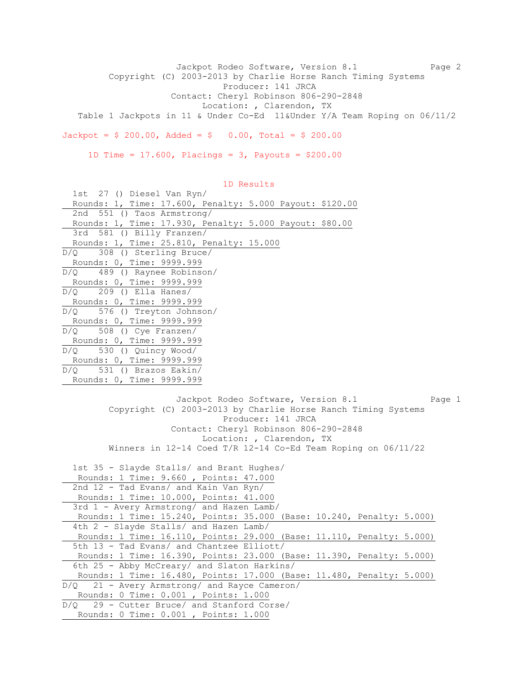Jackpot Rodeo Software, Version 8.1 Page 2 Copyright (C) 2003-2013 by Charlie Horse Ranch Timing Systems Producer: 141 JRCA Contact: Cheryl Robinson 806-290-2848 Location: , Clarendon, TX Table 1 Jackpots in 11 & Under Co-Ed 11&Under Y/A Team Roping on 06/11/2  $Jackpot = $ 200.00, \text{ Added} = $ 0.00, \text{ Total} = $ 200.00$ 

1D Time =  $17.600$ , Placings = 3, Payouts =  $$200.00$ 

 1D Results 1st 27 () Diesel Van Ryn/ Rounds: 1, Time: 17.600, Penalty: 5.000 Payout: \$120.00 2nd 551 () Taos Armstrong/ Rounds: 1, Time: 17.930, Penalty: 5.000 Payout: \$80.00 3rd 581 () Billy Franzen/ Rounds: 1, Time: 25.810, Penalty: 15.000 D/Q 308 () Sterling Bruce/ Rounds: 0, Time: 9999.999 D/Q 489 () Raynee Robinson/ Rounds: 0, Time: 9999.999  $D/Q$  209 () Ella Hanes/ Rounds: 0, Time: 9999.999 D/Q 576 () Treyton Johnson/ Rounds: 0, Time: 9999.999 D/Q 508 () Cye Franzen/ Rounds: 0, Time: 9999.999 D/Q 530 () Quincy Wood/ Rounds: 0, Time: 9999.999 D/Q 531 () Brazos Eakin/ Rounds: 0, Time: 9999.999 Jackpot Rodeo Software, Version 8.1 Page 1 Copyright (C) 2003-2013 by Charlie Horse Ranch Timing Systems Producer: 141 JRCA Contact: Cheryl Robinson 806-290-2848 Location: , Clarendon, TX Winners in 12-14 Coed T/R 12-14 Co-Ed Team Roping on 06/11/22 1st 35 - Slayde Stalls/ and Brant Hughes/ Rounds: 1 Time: 9.660 , Points: 47.000

 2nd 12 - Tad Evans/ and Kain Van Ryn/ Rounds: 1 Time: 10.000, Points: 41.000 3rd 1 - Avery Armstrong/ and Hazen Lamb/ Rounds: 1 Time: 15.240, Points: 35.000 (Base: 10.240, Penalty: 5.000) 4th 2 - Slayde Stalls/ and Hazen Lamb/ Rounds: 1 Time: 16.110, Points: 29.000 (Base: 11.110, Penalty: 5.000) 5th 13 - Tad Evans/ and Chantzee Elliott/ Rounds: 1 Time: 16.390, Points: 23.000 (Base: 11.390, Penalty: 5.000) 6th 25 - Abby McCreary/ and Slaton Harkins/ Rounds: 1 Time: 16.480, Points: 17.000 (Base: 11.480, Penalty: 5.000) D/Q 21 - Avery Armstrong/ and Rayce Cameron/ Rounds: 0 Time: 0.001 , Points: 1.000 D/Q 29 - Cutter Bruce/ and Stanford Corse/

Rounds: 0 Time: 0.001 , Points: 1.000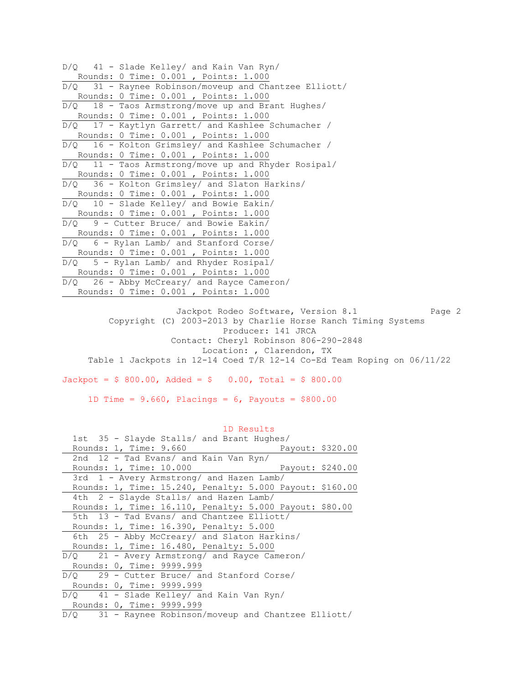| $D/Q$ 41 - Slade Kelley/ and Kain Van Ryn/              |
|---------------------------------------------------------|
| Rounds: 0 Time: 0.001, Points: 1.000                    |
| $D/Q$ 31 - Raynee Robinson/moveup and Chantzee Elliott/ |
| Rounds: 0 Time: 0.001, Points: 1.000                    |
| $D/Q$ 18 - Taos Armstrong/move up and Brant Hughes/     |
| Rounds: 0 Time: 0.001 , Points: 1.000                   |
| D/Q 17 - Kaytlyn Garrett/ and Kashlee Schumacher /      |
| Rounds: 0 Time: 0.001, Points: 1.000                    |
| $D/Q$ 16 - Kolton Grimsley/ and Kashlee Schumacher /    |
| Rounds: 0 Time: 0.001, Points: 1.000                    |
| $D/Q$ 11 - Taos Armstrong/move up and Rhyder Rosipal/   |
| Rounds: 0 Time: 0.001, Points: 1.000                    |
| D/O 36 - Kolton Grimsley/ and Slaton Harkins/           |
| Rounds: 0 Time: 0.001, Points: 1.000                    |
| $D/Q$ 10 - Slade Kelley/ and Bowie Eakin/               |
| Rounds: 0 Time: 0.001, Points: 1.000                    |
| $D/Q$ 9 - Cutter Bruce/ and Bowie Eakin/                |
| Rounds: 0 Time: 0.001, Points: 1.000                    |
| $D/Q$ 6 - Rylan Lamb/ and Stanford Corse/               |
| Rounds: 0 Time: 0.001, Points: 1.000                    |
| $D/Q$ 5 - Rylan Lamb/ and Rhyder Rosipal/               |
| Rounds: 0 Time: 0.001 , Points: 1.000                   |
| $D/Q$ 26 - Abby McCreary/ and Rayce Cameron/            |
| Rounds: 0 Time: 0.001, Points: 1.000                    |

Jackpot Rodeo Software, Version 8.1 Page 2 Copyright (C) 2003-2013 by Charlie Horse Ranch Timing Systems Producer: 141 JRCA Contact: Cheryl Robinson 806-290-2848 Location: , Clarendon, TX Table 1 Jackpots in 12-14 Coed T/R 12-14 Co-Ed Team Roping on 06/11/22

 $Jackpot = $ 800.00, \text{ Added} = $ 0.00, \text{ Total} = $ 800.00$ 

1D Time =  $9.660$ , Placings =  $6$ , Payouts = \$800.00

# 1D Results 1st 35 - Slayde Stalls/ and Brant Hughes/ Rounds: 1, Time: 9.660 Payout: \$320.00 2nd 12 - Tad Evans/ and Kain Van Ryn/ Rounds: 1, Time: 10.000 Payout: \$240.00 3rd 1 - Avery Armstrong/ and Hazen Lamb/ Rounds: 1, Time: 15.240, Penalty: 5.000 Payout: \$160.00 4th 2 - Slayde Stalls/ and Hazen Lamb/ Rounds: 1, Time: 16.110, Penalty: 5.000 Payout: \$80.00 5th 13 - Tad Evans/ and Chantzee Elliott/ Rounds: 1, Time: 16.390, Penalty: 5.000 6th 25 - Abby McCreary/ and Slaton Harkins/ Rounds: 1, Time: 16.480, Penalty: 5.000 D/Q 21 - Avery Armstrong/ and Rayce Cameron/ Rounds: 0, Time: 9999.999 D/Q 29 - Cutter Bruce/ and Stanford Corse/ Rounds: 0, Time: 9999.999 D/Q 41 - Slade Kelley/ and Kain Van Ryn/ Rounds: 0, Time: 9999.999 D/Q 31 - Raynee Robinson/moveup and Chantzee Elliott/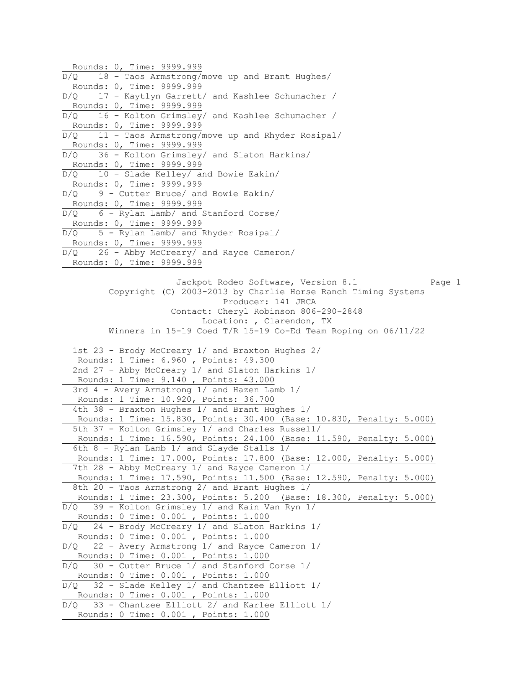Rounds: 0, Time: 9999.999 D/Q 18 - Taos Armstrong/move up and Brant Hughes/ Rounds: 0, Time: 9999.999 D/Q 17 - Kaytlyn Garrett/ and Kashlee Schumacher / Rounds: 0, Time: 9999.999 D/Q 16 - Kolton Grimsley/ and Kashlee Schumacher / Rounds: 0, Time: 9999.999 D/Q 11 - Taos Armstrong/move up and Rhyder Rosipal/ Rounds: 0, Time: 9999.999 D/Q 36 - Kolton Grimsley/ and Slaton Harkins/ Rounds: 0, Time: 9999.999 D/Q 10 - Slade Kelley/ and Bowie Eakin/ Rounds: 0, Time: 9999.999  $D/Q$  9 - Cutter Bruce/ and Bowie Eakin/ Rounds: 0, Time: 9999.999 D/Q 6 - Rylan Lamb/ and Stanford Corse/ Rounds: 0, Time: 9999.999 D/Q 5 - Rylan Lamb/ and Rhyder Rosipal/ Rounds: 0, Time: 9999.999 D/Q 26 - Abby McCreary/ and Rayce Cameron/ Rounds: 0, Time: 9999.999 Jackpot Rodeo Software, Version 8.1 Page 1 Copyright (C) 2003-2013 by Charlie Horse Ranch Timing Systems Producer: 141 JRCA Contact: Cheryl Robinson 806-290-2848 Location: , Clarendon, TX Winners in 15-19 Coed T/R 15-19 Co-Ed Team Roping on 06/11/22 1st 23 - Brody McCreary 1/ and Braxton Hughes 2/ Rounds: 1 Time: 6.960 , Points: 49.300 2nd 27 - Abby McCreary 1/ and Slaton Harkins 1/ Rounds: 1 Time: 9.140 , Points: 43.000 3rd 4 - Avery Armstrong 1/ and Hazen Lamb 1/ Rounds: 1 Time: 10.920, Points: 36.700 4th 38 - Braxton Hughes 1/ and Brant Hughes 1/ Rounds: 1 Time: 15.830, Points: 30.400 (Base: 10.830, Penalty: 5.000) 5th 37 - Kolton Grimsley 1/ and Charles Russell/ Rounds: 1 Time: 16.590, Points: 24.100 (Base: 11.590, Penalty: 5.000) 6th 8 - Rylan Lamb 1/ and Slayde Stalls 1/ Rounds: 1 Time: 17.000, Points: 17.800 (Base: 12.000, Penalty: 5.000) 7th 28 - Abby McCreary 1/ and Rayce Cameron 1/ Rounds: 1 Time: 17.590, Points: 11.500 (Base: 12.590, Penalty: 5.000) 8th 20 - Taos Armstrong 2/ and Brant Hughes 1/ Rounds: 1 Time: 23.300, Points: 5.200 (Base: 18.300, Penalty: 5.000) D/Q 39 - Kolton Grimsley 1/ and Kain Van Ryn 1/ Rounds: 0 Time: 0.001 , Points: 1.000 D/Q 24 - Brody McCreary 1/ and Slaton Harkins 1/ Rounds: 0 Time: 0.001 , Points: 1.000 D/Q 22 - Avery Armstrong 1/ and Rayce Cameron 1/ Rounds: 0 Time: 0.001 , Points: 1.000 D/Q 30 - Cutter Bruce 1/ and Stanford Corse 1/ Rounds: 0 Time: 0.001 , Points: 1.000 D/Q 32 - Slade Kelley 1/ and Chantzee Elliott 1/ Rounds: 0 Time: 0.001 , Points: 1.000 D/Q 33 - Chantzee Elliott 2/ and Karlee Elliott 1/ Rounds: 0 Time: 0.001 , Points: 1.000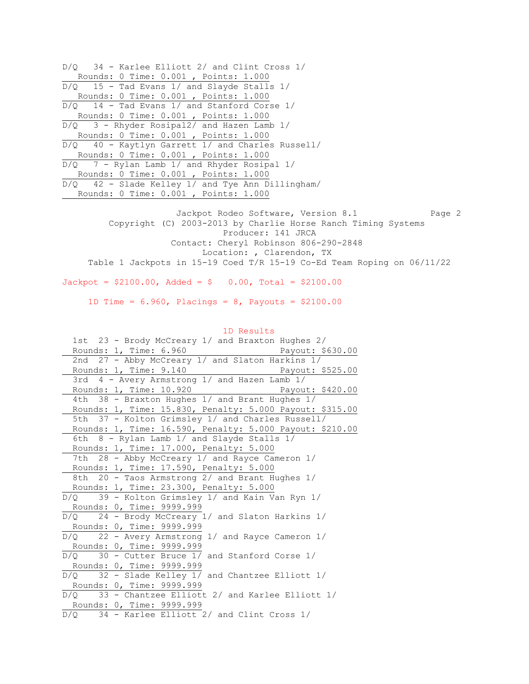D/Q 34 - Karlee Elliott 2/ and Clint Cross 1/ Rounds: 0 Time: 0.001 , Points: 1.000  $D/Q$  15 - Tad Evans 1/ and Slayde Stalls 1/ Rounds: 0 Time: 0.001 , Points: 1.000 D/Q 14 - Tad Evans 1/ and Stanford Corse 1/ Rounds: 0 Time: 0.001 , Points: 1.000 D/Q 3 - Rhyder Rosipal2/ and Hazen Lamb 1/ Rounds: 0 Time: 0.001 , Points: 1.000 D/Q 40 - Kaytlyn Garrett 1/ and Charles Russell/ Rounds: 0 Time: 0.001 , Points: 1.000 D/Q 7 - Rylan Lamb 1/ and Rhyder Rosipal 1/ Rounds: 0 Time: 0.001 , Points: 1.000 D/Q 42 - Slade Kelley 1/ and Tye Ann Dillingham/ Rounds: 0 Time: 0.001 , Points: 1.000 Jackpot Rodeo Software, Version 8.1 Page 2 Copyright (C) 2003-2013 by Charlie Horse Ranch Timing Systems Producer: 141 JRCA Contact: Cheryl Robinson 806-290-2848 Location: , Clarendon, TX Table 1 Jackpots in 15-19 Coed T/R 15-19 Co-Ed Team Roping on 06/11/22  $Jackpot = $2100.00$ ,  $Added = $ 0.00$ ,  $Total = $2100.00$  1D Time = 6.960, Placings = 8, Payouts = \$2100.00 1D Results 1st 23 - Brody McCreary 1/ and Braxton Hughes 2/ Rounds: 1, Time: 6.960 Payout: \$630.00 2nd 27 - Abby McCreary 1/ and Slaton Harkins 1/ Rounds: 1, Time: 9.140 Payout: \$525.00 3rd 4 - Avery Armstrong 1/ and Hazen Lamb 1/ Rounds: 1, Time: 10.920 Payout: \$420.00 4th 38 - Braxton Hughes 1/ and Brant Hughes 1/ Rounds: 1, Time: 15.830, Penalty: 5.000 Payout: \$315.00

 5th 37 - Kolton Grimsley 1/ and Charles Russell/ Rounds: 1, Time: 16.590, Penalty: 5.000 Payout: \$210.00 6th 8 - Rylan Lamb 1/ and Slayde Stalls 1/ Rounds: 1, Time: 17.000, Penalty: 5.000 7th 28 - Abby McCreary 1/ and Rayce Cameron 1/ Rounds: 1, Time: 17.590, Penalty: 5.000 8th 20 - Taos Armstrong 2/ and Brant Hughes 1/ Rounds: 1, Time: 23.300, Penalty: 5.000 D/Q 39 - Kolton Grimsley 1/ and Kain Van Ryn 1/ Rounds: 0, Time: 9999.999 D/Q 24 - Brody McCreary 1/ and Slaton Harkins 1/ Rounds: 0, Time: 9999.999 D/Q 22 - Avery Armstrong 1/ and Rayce Cameron 1/ Rounds: 0, Time: 9999.999

 $\overline{D/Q}$  30 - Cutter Bruce 1/ and Stanford Corse 1/ Rounds: 0, Time: 9999.999 D/Q 32 - Slade Kelley 1/ and Chantzee Elliott 1/ Rounds: 0, Time: 9999.999

D/Q 33 - Chantzee Elliott 2/ and Karlee Elliott 1/ Rounds: 0, Time: 9999.999

D/Q 34 - Karlee Elliott 2/ and Clint Cross 1/